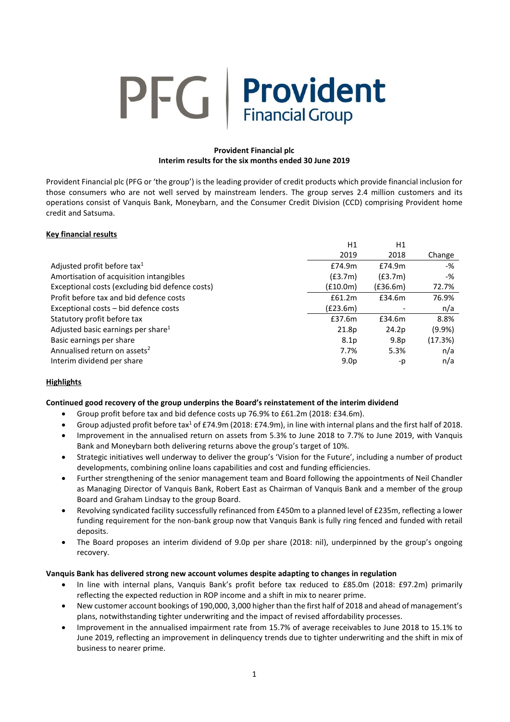# **PFG** Provident **Financial Group**

# **Provident Financial plc Interim results for the six months ended 30 June 2019**

Provident Financial plc (PFG or 'the group') is the leading provider of credit products which provide financial inclusion for those consumers who are not well served by mainstream lenders. The group serves 2.4 million customers and its operations consist of Vanquis Bank, Moneybarn, and the Consumer Credit Division (CCD) comprising Provident home credit and Satsuma.

# **Key financial results**

|                                                 | H1               | H1               |           |
|-------------------------------------------------|------------------|------------------|-----------|
|                                                 | 2019             | 2018             | Change    |
| Adjusted profit before tax <sup>1</sup>         | £74.9m           | £74.9m           | -%        |
| Amortisation of acquisition intangibles         | (E3.7m)          | (E3.7m)          | -%        |
| Exceptional costs (excluding bid defence costs) | (f10.0m)         | (E36.6m)         | 72.7%     |
| Profit before tax and bid defence costs         | £61.2m           | £34.6m           | 76.9%     |
| Exceptional costs - bid defence costs           | (E23.6m)         |                  | n/a       |
| Statutory profit before tax                     | £37.6m           | £34.6m           | 8.8%      |
| Adjusted basic earnings per share $1$           | 21.8p            | 24.2p            | $(9.9\%)$ |
| Basic earnings per share                        | 8.1 <sub>p</sub> | 9.8 <sub>p</sub> | (17.3%)   |
| Annualised return on assets <sup>2</sup>        | 7.7%             | 5.3%             | n/a       |
| Interim dividend per share                      | 9.0 <sub>p</sub> | -p               | n/a       |

# **Highlights**

# **Continued good recovery of the group underpins the Board's reinstatement of the interim dividend**

- Group profit before tax and bid defence costs up 76.9% to £61.2m (2018: £34.6m).
- Group adjusted profit before tax<sup>1</sup> of £74.9m (2018: £74.9m), in line with internal plans and the first half of 2018.
- Improvement in the annualised return on assets from 5.3% to June 2018 to 7.7% to June 2019, with Vanquis Bank and Moneybarn both delivering returns above the group's target of 10%.
- Strategic initiatives well underway to deliver the group's 'Vision for the Future', including a number of product developments, combining online loans capabilities and cost and funding efficiencies.
- Further strengthening of the senior management team and Board following the appointments of Neil Chandler as Managing Director of Vanquis Bank, Robert East as Chairman of Vanquis Bank and a member of the group Board and Graham Lindsay to the group Board.
- Revolving syndicated facility successfully refinanced from £450m to a planned level of £235m, reflecting a lower funding requirement for the non-bank group now that Vanquis Bank is fully ring fenced and funded with retail deposits.
- The Board proposes an interim dividend of 9.0p per share (2018: nil), underpinned by the group's ongoing recovery.

# **Vanquis Bank has delivered strong new account volumes despite adapting to changes in regulation**

- In line with internal plans, Vanquis Bank's profit before tax reduced to £85.0m (2018: £97.2m) primarily reflecting the expected reduction in ROP income and a shift in mix to nearer prime.
- New customer account bookings of 190,000, 3,000 higher than the first half of 2018 and ahead of management's plans, notwithstanding tighter underwriting and the impact of revised affordability processes.
- Improvement in the annualised impairment rate from 15.7% of average receivables to June 2018 to 15.1% to June 2019, reflecting an improvement in delinquency trends due to tighter underwriting and the shift in mix of business to nearer prime.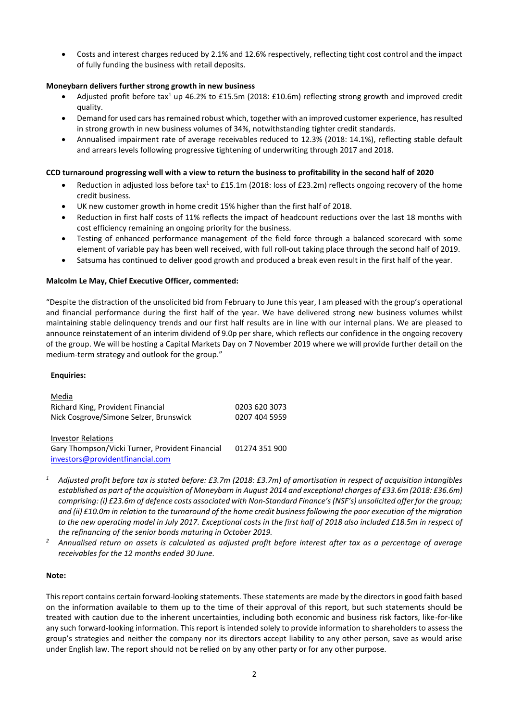• Costs and interest charges reduced by 2.1% and 12.6% respectively, reflecting tight cost control and the impact of fully funding the business with retail deposits.

# **Moneybarn delivers further strong growth in new business**

- Adjusted profit before tax<sup>1</sup> up 46.2% to £15.5m (2018: £10.6m) reflecting strong growth and improved credit quality.
- Demand for used cars has remained robust which, together with an improved customer experience, has resulted in strong growth in new business volumes of 34%, notwithstanding tighter credit standards.
- Annualised impairment rate of average receivables reduced to 12.3% (2018: 14.1%), reflecting stable default and arrears levels following progressive tightening of underwriting through 2017 and 2018.

# **CCD turnaround progressing well with a view to return the business to profitability in the second half of 2020**

- Reduction in adjusted loss before tax<sup>1</sup> to £15.1m (2018: loss of £23.2m) reflects ongoing recovery of the home credit business.
- UK new customer growth in home credit 15% higher than the first half of 2018.
- Reduction in first half costs of 11% reflects the impact of headcount reductions over the last 18 months with cost efficiency remaining an ongoing priority for the business.
- Testing of enhanced performance management of the field force through a balanced scorecard with some element of variable pay has been well received, with full roll-out taking place through the second half of 2019.
- Satsuma has continued to deliver good growth and produced a break even result in the first half of the year.

# **Malcolm Le May, Chief Executive Officer, commented:**

"Despite the distraction of the unsolicited bid from February to June this year, I am pleased with the group's operational and financial performance during the first half of the year. We have delivered strong new business volumes whilst maintaining stable delinquency trends and our first half results are in line with our internal plans. We are pleased to announce reinstatement of an interim dividend of 9.0p per share, which reflects our confidence in the ongoing recovery of the group. We will be hosting a Capital Markets Day on 7 November 2019 where we will provide further detail on the medium-term strategy and outlook for the group."

# **Enquiries:**

| Media                                           |               |
|-------------------------------------------------|---------------|
| Richard King, Provident Financial               | 0203 620 3073 |
| Nick Cosgrove/Simone Selzer, Brunswick          | 0207 404 5959 |
|                                                 |               |
| <b>Investor Relations</b>                       |               |
| Gary Thompson/Vicki Turner, Provident Financial | 01274 351 900 |
| investors@providentfinancial.com                |               |

- *<sup>1</sup> Adjusted profit before tax is stated before: £3.7m (2018: £3.7m) of amortisation in respect of acquisition intangibles established as part of the acquisition of Moneybarn in August 2014 and exceptional charges of £33.6m (2018: £36.6m) comprising: (i) £23.6m of defence costs associated with Non-Standard Finance's (NSF's) unsolicited offer for the group; and (ii) £10.0m in relation to the turnaround of the home credit business following the poor execution of the migration to the new operating model in July 2017. Exceptional costs in the first half of 2018 also included £18.5m in respect of the refinancing of the senior bonds maturing in October 2019.*
- *<sup>2</sup> Annualised return on assets is calculated as adjusted profit before interest after tax as a percentage of average receivables for the 12 months ended 30 June.*

# **Note:**

This report contains certain forward-looking statements. These statements are made by the directors in good faith based on the information available to them up to the time of their approval of this report, but such statements should be treated with caution due to the inherent uncertainties, including both economic and business risk factors, like-for-like any such forward-looking information. This report is intended solely to provide information to shareholders to assess the group's strategies and neither the company nor its directors accept liability to any other person, save as would arise under English law. The report should not be relied on by any other party or for any other purpose.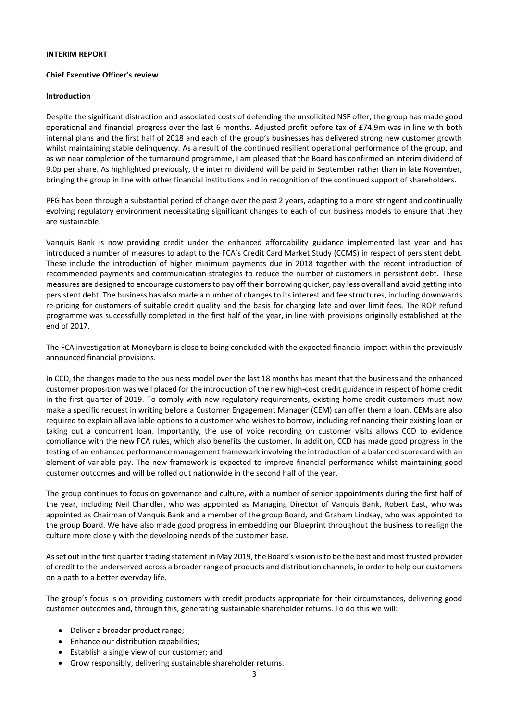#### **INTERIM REPORT**

#### **Chief Executive Officer's review**

#### **Introduction**

Despite the significant distraction and associated costs of defending the unsolicited NSF offer, the group has made good operational and financial progress over the last 6 months. Adjusted profit before tax of £74.9m was in line with both internal plans and the first half of 2018 and each of the group's businesses has delivered strong new customer growth whilst maintaining stable delinquency. As a result of the continued resilient operational performance of the group, and as we near completion of the turnaround programme, I am pleased that the Board has confirmed an interim dividend of 9.0p per share. As highlighted previously, the interim dividend will be paid in September rather than in late November, bringing the group in line with other financial institutions and in recognition of the continued support of shareholders.

PFG has been through a substantial period of change over the past 2 years, adapting to a more stringent and continually evolving regulatory environment necessitating significant changes to each of our business models to ensure that they are sustainable.

Vanquis Bank is now providing credit under the enhanced affordability guidance implemented last year and has introduced a number of measures to adapt to the FCA's Credit Card Market Study (CCMS) in respect of persistent debt. These include the introduction of higher minimum payments due in 2018 together with the recent introduction of recommended payments and communication strategies to reduce the number of customers in persistent debt. These measures are designed to encourage customers to pay off their borrowing quicker, pay less overall and avoid getting into persistent debt. The business has also made a number of changes to its interest and fee structures, including downwards re-pricing for customers of suitable credit quality and the basis for charging late and over limit fees. The ROP refund programme was successfully completed in the first half of the year, in line with provisions originally established at the end of 2017.

The FCA investigation at Moneybarn is close to being concluded with the expected financial impact within the previously announced financial provisions.

In CCD, the changes made to the business model over the last 18 months has meant that the business and the enhanced customer proposition was well placed for the introduction of the new high-cost credit guidance in respect of home credit in the first quarter of 2019. To comply with new regulatory requirements, existing home credit customers must now make a specific request in writing before a Customer Engagement Manager (CEM) can offer them a loan. CEMs are also required to explain all available options to a customer who wishes to borrow, including refinancing their existing loan or taking out a concurrent loan. Importantly, the use of voice recording on customer visits allows CCD to evidence compliance with the new FCA rules, which also benefits the customer. In addition, CCD has made good progress in the testing of an enhanced performance management framework involving the introduction of a balanced scorecard with an element of variable pay. The new framework is expected to improve financial performance whilst maintaining good customer outcomes and will be rolled out nationwide in the second half of the year.

The group continues to focus on governance and culture, with a number of senior appointments during the first half of the year, including Neil Chandler, who was appointed as Managing Director of Vanquis Bank, Robert East, who was appointed as Chairman of Vanquis Bank and a member of the group Board, and Graham Lindsay, who was appointed to the group Board. We have also made good progress in embedding our Blueprint throughout the business to realign the culture more closely with the developing needs of the customer base.

As set out in the first quarter trading statement in May 2019, the Board's vision is to be the best and most trusted provider of credit to the underserved across a broader range of products and distribution channels, in order to help our customers on a path to a better everyday life.

The group's focus is on providing customers with credit products appropriate for their circumstances, delivering good customer outcomes and, through this, generating sustainable shareholder returns. To do this we will:

- Deliver a broader product range;
- Enhance our distribution capabilities;
- Establish a single view of our customer; and
- Grow responsibly, delivering sustainable shareholder returns.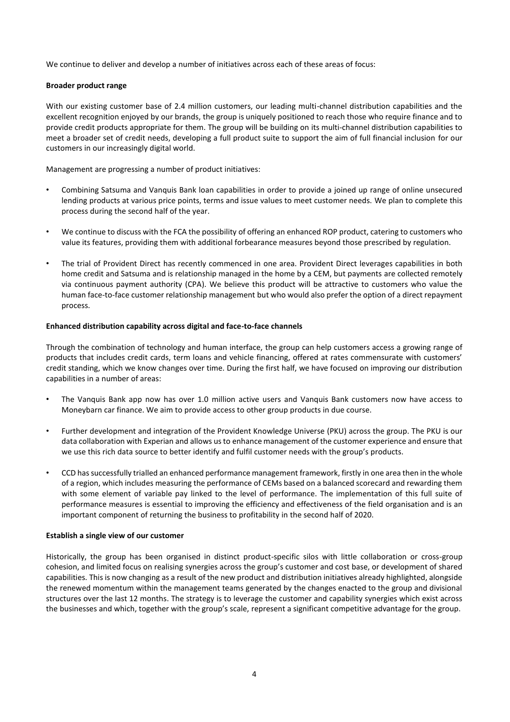We continue to deliver and develop a number of initiatives across each of these areas of focus:

### **Broader product range**

With our existing customer base of 2.4 million customers, our leading multi-channel distribution capabilities and the excellent recognition enjoyed by our brands, the group is uniquely positioned to reach those who require finance and to provide credit products appropriate for them. The group will be building on its multi-channel distribution capabilities to meet a broader set of credit needs, developing a full product suite to support the aim of full financial inclusion for our customers in our increasingly digital world.

Management are progressing a number of product initiatives:

- Combining Satsuma and Vanquis Bank loan capabilities in order to provide a joined up range of online unsecured lending products at various price points, terms and issue values to meet customer needs. We plan to complete this process during the second half of the year.
- We continue to discuss with the FCA the possibility of offering an enhanced ROP product, catering to customers who value its features, providing them with additional forbearance measures beyond those prescribed by regulation.
- The trial of Provident Direct has recently commenced in one area. Provident Direct leverages capabilities in both home credit and Satsuma and is relationship managed in the home by a CEM, but payments are collected remotely via continuous payment authority (CPA). We believe this product will be attractive to customers who value the human face-to-face customer relationship management but who would also prefer the option of a direct repayment process.

#### **Enhanced distribution capability across digital and face-to-face channels**

Through the combination of technology and human interface, the group can help customers access a growing range of products that includes credit cards, term loans and vehicle financing, offered at rates commensurate with customers' credit standing, which we know changes over time. During the first half, we have focused on improving our distribution capabilities in a number of areas:

- The Vanquis Bank app now has over 1.0 million active users and Vanquis Bank customers now have access to Moneybarn car finance. We aim to provide access to other group products in due course.
- Further development and integration of the Provident Knowledge Universe (PKU) across the group. The PKU is our data collaboration with Experian and allows us to enhance management of the customer experience and ensure that we use this rich data source to better identify and fulfil customer needs with the group's products.
- CCD has successfully trialled an enhanced performance management framework, firstly in one area then in the whole of a region, which includes measuring the performance of CEMs based on a balanced scorecard and rewarding them with some element of variable pay linked to the level of performance. The implementation of this full suite of performance measures is essential to improving the efficiency and effectiveness of the field organisation and is an important component of returning the business to profitability in the second half of 2020.

#### **Establish a single view of our customer**

Historically, the group has been organised in distinct product-specific silos with little collaboration or cross-group cohesion, and limited focus on realising synergies across the group's customer and cost base, or development of shared capabilities. This is now changing as a result of the new product and distribution initiatives already highlighted, alongside the renewed momentum within the management teams generated by the changes enacted to the group and divisional structures over the last 12 months. The strategy is to leverage the customer and capability synergies which exist across the businesses and which, together with the group's scale, represent a significant competitive advantage for the group.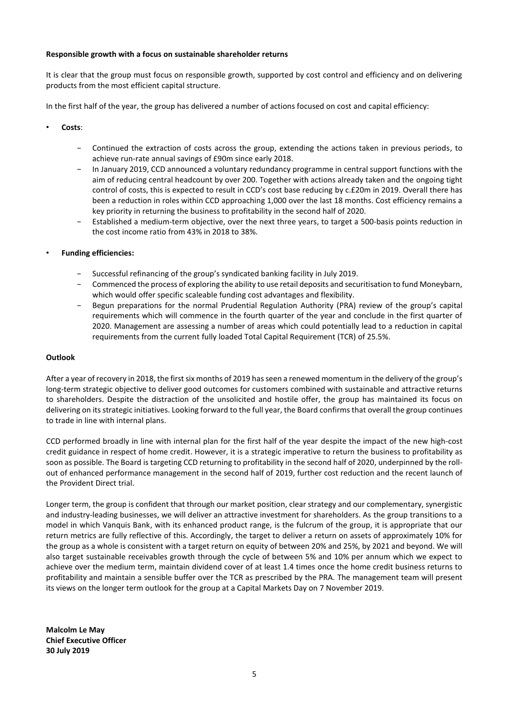### **Responsible growth with a focus on sustainable shareholder returns**

It is clear that the group must focus on responsible growth, supported by cost control and efficiency and on delivering products from the most efficient capital structure.

In the first half of the year, the group has delivered a number of actions focused on cost and capital efficiency:

- **Costs**:
	- − Continued the extraction of costs across the group, extending the actions taken in previous periods, to achieve run-rate annual savings of £90m since early 2018.
	- In January 2019, CCD announced a voluntary redundancy programme in central support functions with the aim of reducing central headcount by over 200. Together with actions already taken and the ongoing tight control of costs, this is expected to result in CCD's cost base reducing by c.£20m in 2019. Overall there has been a reduction in roles within CCD approaching 1,000 over the last 18 months. Cost efficiency remains a key priority in returning the business to profitability in the second half of 2020.
	- Established a medium-term objective, over the next three years, to target a 500-basis points reduction in the cost income ratio from 43% in 2018 to 38%.
- **Funding efficiencies:**
	- − Successful refinancing of the group's syndicated banking facility in July 2019.
	- − Commenced the process of exploring the ability to use retail deposits and securitisation to fund Moneybarn, which would offer specific scaleable funding cost advantages and flexibility.
	- − Begun preparations for the normal Prudential Regulation Authority (PRA) review of the group's capital requirements which will commence in the fourth quarter of the year and conclude in the first quarter of 2020. Management are assessing a number of areas which could potentially lead to a reduction in capital requirements from the current fully loaded Total Capital Requirement (TCR) of 25.5%.

#### **Outlook**

After a year of recovery in 2018, the first six months of 2019 hasseen a renewed momentum in the delivery of the group's long-term strategic objective to deliver good outcomes for customers combined with sustainable and attractive returns to shareholders. Despite the distraction of the unsolicited and hostile offer, the group has maintained its focus on delivering on its strategic initiatives. Looking forward to the full year, the Board confirms that overall the group continues to trade in line with internal plans.

CCD performed broadly in line with internal plan for the first half of the year despite the impact of the new high-cost credit guidance in respect of home credit. However, it is a strategic imperative to return the business to profitability as soon as possible. The Board is targeting CCD returning to profitability in the second half of 2020, underpinned by the rollout of enhanced performance management in the second half of 2019, further cost reduction and the recent launch of the Provident Direct trial.

Longer term, the group is confident that through our market position, clear strategy and our complementary, synergistic and industry-leading businesses, we will deliver an attractive investment for shareholders. As the group transitions to a model in which Vanquis Bank, with its enhanced product range, is the fulcrum of the group, it is appropriate that our return metrics are fully reflective of this. Accordingly, the target to deliver a return on assets of approximately 10% for the group as a whole is consistent with a target return on equity of between 20% and 25%, by 2021 and beyond. We will also target sustainable receivables growth through the cycle of between 5% and 10% per annum which we expect to achieve over the medium term, maintain dividend cover of at least 1.4 times once the home credit business returns to profitability and maintain a sensible buffer over the TCR as prescribed by the PRA. The management team will present its views on the longer term outlook for the group at a Capital Markets Day on 7 November 2019.

**Malcolm Le May Chief Executive Officer 30 July 2019**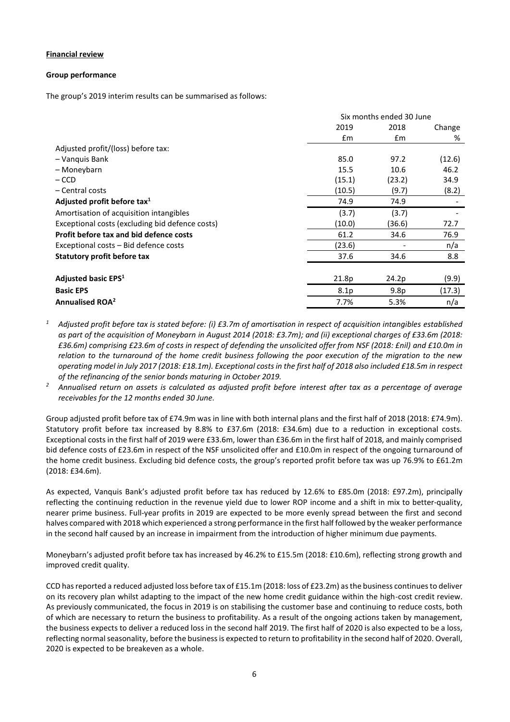### **Financial review**

#### **Group performance**

The group's 2019 interim results can be summarised as follows:

|                                                 |                  | Six months ended 30 June |        |
|-------------------------------------------------|------------------|--------------------------|--------|
|                                                 | 2019             | 2018                     |        |
|                                                 | $\mathsf{fm}$    | £m                       | %      |
| Adjusted profit/(loss) before tax:              |                  |                          |        |
| - Vanquis Bank                                  | 85.0             | 97.2                     | (12.6) |
| – Moneybarn                                     | 15.5             | 10.6                     | 46.2   |
| $-$ CCD                                         | (15.1)           | (23.2)                   | 34.9   |
| – Central costs                                 | (10.5)           | (9.7)                    | (8.2)  |
| Adjusted profit before tax <sup>1</sup>         | 74.9             | 74.9                     |        |
| Amortisation of acquisition intangibles         | (3.7)            | (3.7)                    |        |
| Exceptional costs (excluding bid defence costs) | (10.0)           | (36.6)                   | 72.7   |
| Profit before tax and bid defence costs         | 61.2             | 34.6                     | 76.9   |
| Exceptional costs - Bid defence costs           | (23.6)           |                          | n/a    |
| <b>Statutory profit before tax</b>              | 37.6             | 34.6                     | 8.8    |
|                                                 |                  |                          |        |
| Adjusted basic EPS <sup>1</sup>                 | 21.8p            | 24.2p                    | (9.9)  |
| <b>Basic EPS</b>                                | 8.1 <sub>p</sub> | 9.8 <sub>p</sub>         | (17.3) |
| Annualised ROA <sup>2</sup>                     | 7.7%             | 5.3%                     | n/a    |

- *<sup>1</sup> Adjusted profit before tax is stated before: (i) £3.7m of amortisation in respect of acquisition intangibles established as part of the acquisition of Moneybarn in August 2014 (2018: £3.7m); and (ii) exceptional charges of £33.6m (2018: £36.6m) comprising £23.6m of costs in respect of defending the unsolicited offer from NSF (2018: £nil) and £10.0m in relation to the turnaround of the home credit business following the poor execution of the migration to the new operating model in July 2017 (2018: £18.1m). Exceptional costs in the first half of 2018 also included £18.5m in respect of the refinancing of the senior bonds maturing in October 2019.*
- *<sup>2</sup> Annualised return on assets is calculated as adjusted profit before interest after tax as a percentage of average receivables for the 12 months ended 30 June.*

Group adjusted profit before tax of £74.9m was in line with both internal plans and the first half of 2018 (2018: £74.9m). Statutory profit before tax increased by 8.8% to £37.6m (2018: £34.6m) due to a reduction in exceptional costs. Exceptional costs in the first half of 2019 were £33.6m, lower than £36.6m in the first half of 2018, and mainly comprised bid defence costs of £23.6m in respect of the NSF unsolicited offer and £10.0m in respect of the ongoing turnaround of the home credit business. Excluding bid defence costs, the group's reported profit before tax was up 76.9% to £61.2m (2018: £34.6m).

As expected, Vanquis Bank's adjusted profit before tax has reduced by 12.6% to £85.0m (2018: £97.2m), principally reflecting the continuing reduction in the revenue yield due to lower ROP income and a shift in mix to better-quality, nearer prime business. Full-year profits in 2019 are expected to be more evenly spread between the first and second halves compared with 2018 which experienced a strong performance in the first half followed by the weaker performance in the second half caused by an increase in impairment from the introduction of higher minimum due payments.

Moneybarn's adjusted profit before tax has increased by 46.2% to £15.5m (2018: £10.6m), reflecting strong growth and improved credit quality.

CCD has reported a reduced adjusted loss before tax of £15.1m (2018: loss of £23.2m) as the business continues to deliver on its recovery plan whilst adapting to the impact of the new home credit guidance within the high-cost credit review. As previously communicated, the focus in 2019 is on stabilising the customer base and continuing to reduce costs, both of which are necessary to return the business to profitability. As a result of the ongoing actions taken by management, the business expects to deliver a reduced loss in the second half 2019. The first half of 2020 is also expected to be a loss, reflecting normal seasonality, before the business is expected to return to profitability in the second half of 2020. Overall, 2020 is expected to be breakeven as a whole.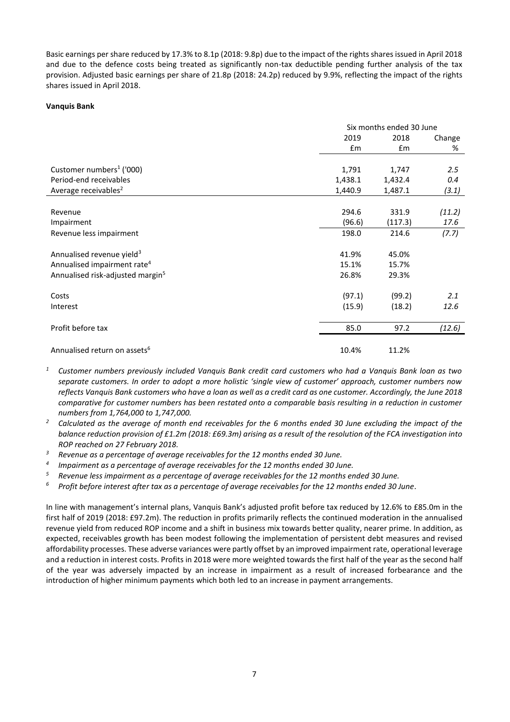Basic earnings per share reduced by 17.3% to 8.1p (2018: 9.8p) due to the impact of the rights shares issued in April 2018 and due to the defence costs being treated as significantly non-tax deductible pending further analysis of the tax provision. Adjusted basic earnings per share of 21.8p (2018: 24.2p) reduced by 9.9%, reflecting the impact of the rights shares issued in April 2018.

#### **Vanquis Bank**

|                                              |         | Six months ended 30 June |        |  |  |
|----------------------------------------------|---------|--------------------------|--------|--|--|
|                                              | 2019    | 2018                     |        |  |  |
|                                              | £m      | £m                       | %      |  |  |
|                                              |         |                          |        |  |  |
| Customer numbers <sup>1</sup> ('000)         | 1,791   | 1,747                    | 2.5    |  |  |
| Period-end receivables                       | 1,438.1 | 1,432.4                  | 0.4    |  |  |
| Average receivables <sup>2</sup>             | 1,440.9 | 1,487.1                  | (3.1)  |  |  |
|                                              |         |                          |        |  |  |
| Revenue                                      | 294.6   | 331.9                    | (11.2) |  |  |
| Impairment                                   | (96.6)  | (117.3)                  | 17.6   |  |  |
| Revenue less impairment                      | 198.0   | 214.6                    | (7.7)  |  |  |
| Annualised revenue yield <sup>3</sup>        | 41.9%   | 45.0%                    |        |  |  |
| Annualised impairment rate <sup>4</sup>      | 15.1%   | 15.7%                    |        |  |  |
| Annualised risk-adjusted margin <sup>5</sup> | 26.8%   | 29.3%                    |        |  |  |
| Costs                                        | (97.1)  | (99.2)                   | 2.1    |  |  |
| Interest                                     | (15.9)  | (18.2)                   | 12.6   |  |  |
| Profit before tax                            | 85.0    | 97.2                     | (12.6) |  |  |
|                                              |         |                          |        |  |  |
| Annualised return on assets <sup>6</sup>     | 10.4%   | 11.2%                    |        |  |  |

- *<sup>1</sup> Customer numbers previously included Vanquis Bank credit card customers who had a Vanquis Bank loan as two separate customers. In order to adopt a more holistic 'single view of customer' approach, customer numbers now reflects Vanquis Bank customers who have a loan as well as a credit card as one customer. Accordingly, the June 2018 comparative for customer numbers has been restated onto a comparable basis resulting in a reduction in customer numbers from 1,764,000 to 1,747,000.*
- *<sup>2</sup> Calculated as the average of month end receivables for the 6 months ended 30 June excluding the impact of the balance reduction provision of £1.2m (2018: £69.3m) arising as a result of the resolution of the FCA investigation into ROP reached on 27 February 2018.*
- *<sup>3</sup> Revenue as a percentage of average receivables for the 12 months ended 30 June.*
- *4 Impairment as a percentage of average receivables for the 12 months ended 30 June.*
- *<sup>5</sup> Revenue less impairment as a percentage of average receivables for the 12 months ended 30 June.*
- *<sup>6</sup> Profit before interest after tax as a percentage of average receivables for the 12 months ended 30 June.*

In line with management's internal plans, Vanquis Bank's adjusted profit before tax reduced by 12.6% to £85.0m in the first half of 2019 (2018: £97.2m). The reduction in profits primarily reflects the continued moderation in the annualised revenue yield from reduced ROP income and a shift in business mix towards better quality, nearer prime. In addition, as expected, receivables growth has been modest following the implementation of persistent debt measures and revised affordability processes. These adverse variances were partly offset by an improved impairment rate, operational leverage and a reduction in interest costs. Profits in 2018 were more weighted towards the first half of the year as the second half of the year was adversely impacted by an increase in impairment as a result of increased forbearance and the introduction of higher minimum payments which both led to an increase in payment arrangements.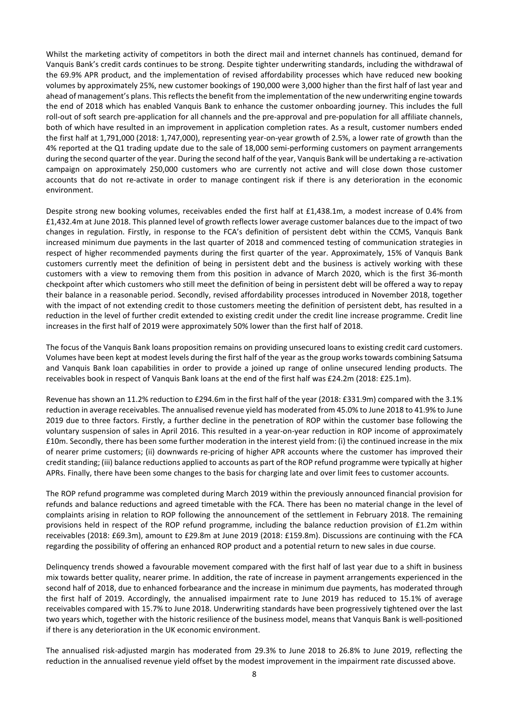Whilst the marketing activity of competitors in both the direct mail and internet channels has continued, demand for Vanquis Bank's credit cards continues to be strong. Despite tighter underwriting standards, including the withdrawal of the 69.9% APR product, and the implementation of revised affordability processes which have reduced new booking volumes by approximately 25%, new customer bookings of 190,000 were 3,000 higher than the first half of last year and ahead of management's plans. This reflects the benefit from the implementation of the new underwriting engine towards the end of 2018 which has enabled Vanquis Bank to enhance the customer onboarding journey. This includes the full roll-out of soft search pre-application for all channels and the pre-approval and pre-population for all affiliate channels, both of which have resulted in an improvement in application completion rates. As a result, customer numbers ended the first half at 1,791,000 (2018: 1,747,000), representing year-on-year growth of 2.5%, a lower rate of growth than the 4% reported at the Q1 trading update due to the sale of 18,000 semi-performing customers on payment arrangements during the second quarter of the year. During the second half of the year, Vanquis Bank will be undertaking a re-activation campaign on approximately 250,000 customers who are currently not active and will close down those customer accounts that do not re-activate in order to manage contingent risk if there is any deterioration in the economic environment.

Despite strong new booking volumes, receivables ended the first half at £1,438.1m, a modest increase of 0.4% from £1,432.4m at June 2018. This planned level of growth reflects lower average customer balances due to the impact of two changes in regulation. Firstly, in response to the FCA's definition of persistent debt within the CCMS, Vanquis Bank increased minimum due payments in the last quarter of 2018 and commenced testing of communication strategies in respect of higher recommended payments during the first quarter of the year. Approximately, 15% of Vanquis Bank customers currently meet the definition of being in persistent debt and the business is actively working with these customers with a view to removing them from this position in advance of March 2020, which is the first 36-month checkpoint after which customers who still meet the definition of being in persistent debt will be offered a way to repay their balance in a reasonable period. Secondly, revised affordability processes introduced in November 2018, together with the impact of not extending credit to those customers meeting the definition of persistent debt, has resulted in a reduction in the level of further credit extended to existing credit under the credit line increase programme. Credit line increases in the first half of 2019 were approximately 50% lower than the first half of 2018.

The focus of the Vanquis Bank loans proposition remains on providing unsecured loans to existing credit card customers. Volumes have been kept at modest levels during the first half of the year as the group workstowards combining Satsuma and Vanquis Bank loan capabilities in order to provide a joined up range of online unsecured lending products. The receivables book in respect of Vanquis Bank loans at the end of the first half was £24.2m (2018: £25.1m).

Revenue has shown an 11.2% reduction to £294.6m in the first half of the year (2018: £331.9m) compared with the 3.1% reduction in average receivables. The annualised revenue yield has moderated from 45.0% to June 2018 to 41.9% to June 2019 due to three factors. Firstly, a further decline in the penetration of ROP within the customer base following the voluntary suspension of sales in April 2016. This resulted in a year-on-year reduction in ROP income of approximately £10m. Secondly, there has been some further moderation in the interest yield from: (i) the continued increase in the mix of nearer prime customers; (ii) downwards re-pricing of higher APR accounts where the customer has improved their credit standing; (iii) balance reductions applied to accounts as part of the ROP refund programme were typically at higher APRs. Finally, there have been some changes to the basis for charging late and over limit fees to customer accounts.

The ROP refund programme was completed during March 2019 within the previously announced financial provision for refunds and balance reductions and agreed timetable with the FCA. There has been no material change in the level of complaints arising in relation to ROP following the announcement of the settlement in February 2018. The remaining provisions held in respect of the ROP refund programme, including the balance reduction provision of £1.2m within receivables (2018: £69.3m), amount to £29.8m at June 2019 (2018: £159.8m). Discussions are continuing with the FCA regarding the possibility of offering an enhanced ROP product and a potential return to new sales in due course.

Delinquency trends showed a favourable movement compared with the first half of last year due to a shift in business mix towards better quality, nearer prime. In addition, the rate of increase in payment arrangements experienced in the second half of 2018, due to enhanced forbearance and the increase in minimum due payments, has moderated through the first half of 2019. Accordingly, the annualised impairment rate to June 2019 has reduced to 15.1% of average receivables compared with 15.7% to June 2018. Underwriting standards have been progressively tightened over the last two years which, together with the historic resilience of the business model, means that Vanquis Bank is well-positioned if there is any deterioration in the UK economic environment.

The annualised risk-adjusted margin has moderated from 29.3% to June 2018 to 26.8% to June 2019, reflecting the reduction in the annualised revenue yield offset by the modest improvement in the impairment rate discussed above.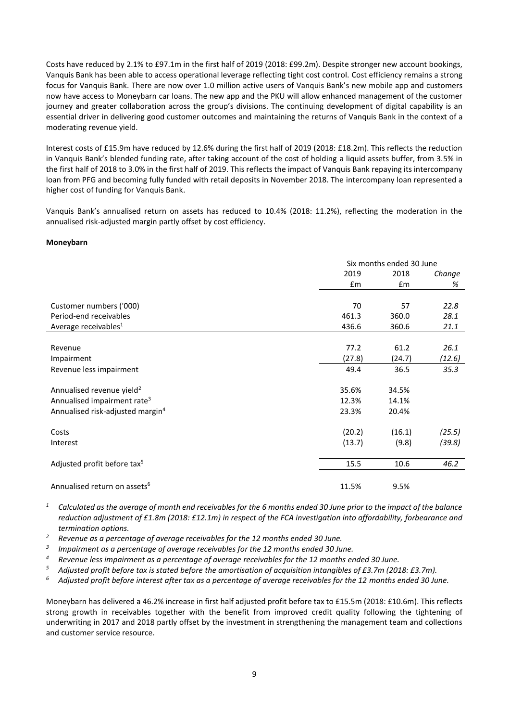Costs have reduced by 2.1% to £97.1m in the first half of 2019 (2018: £99.2m). Despite stronger new account bookings, Vanquis Bank has been able to access operational leverage reflecting tight cost control. Cost efficiency remains a strong focus for Vanquis Bank. There are now over 1.0 million active users of Vanquis Bank's new mobile app and customers now have access to Moneybarn car loans. The new app and the PKU will allow enhanced management of the customer journey and greater collaboration across the group's divisions. The continuing development of digital capability is an essential driver in delivering good customer outcomes and maintaining the returns of Vanquis Bank in the context of a moderating revenue yield.

Interest costs of £15.9m have reduced by 12.6% during the first half of 2019 (2018: £18.2m). This reflects the reduction in Vanquis Bank's blended funding rate, after taking account of the cost of holding a liquid assets buffer, from 3.5% in the first half of 2018 to 3.0% in the first half of 2019. This reflects the impact of Vanquis Bank repaying its intercompany loan from PFG and becoming fully funded with retail deposits in November 2018. The intercompany loan represented a higher cost of funding for Vanquis Bank.

Vanquis Bank's annualised return on assets has reduced to 10.4% (2018: 11.2%), reflecting the moderation in the annualised risk-adjusted margin partly offset by cost efficiency.

#### **Moneybarn**

|                                              | Six months ended 30 June |        |        |  |
|----------------------------------------------|--------------------------|--------|--------|--|
|                                              | 2019                     | 2018   | Change |  |
|                                              | Em                       | Em     | %      |  |
|                                              |                          |        |        |  |
| Customer numbers ('000)                      | 70                       | 57     | 22.8   |  |
| Period-end receivables                       | 461.3                    | 360.0  | 28.1   |  |
| Average receivables <sup>1</sup>             | 436.6                    | 360.6  | 21.1   |  |
|                                              |                          |        |        |  |
| Revenue                                      | 77.2                     | 61.2   | 26.1   |  |
| Impairment                                   | (27.8)                   | (24.7) | (12.6) |  |
| Revenue less impairment                      | 49.4                     | 36.5   | 35.3   |  |
| Annualised revenue yield <sup>2</sup>        | 35.6%                    | 34.5%  |        |  |
| Annualised impairment rate <sup>3</sup>      | 12.3%                    | 14.1%  |        |  |
| Annualised risk-adjusted margin <sup>4</sup> | 23.3%                    | 20.4%  |        |  |
| Costs                                        | (20.2)                   | (16.1) | (25.5) |  |
| Interest                                     | (13.7)                   | (9.8)  | (39.8) |  |
| Adjusted profit before tax <sup>5</sup>      | 15.5                     | 10.6   | 46.2   |  |
| Annualised return on assets <sup>6</sup>     | 11.5%                    | 9.5%   |        |  |

*<sup>1</sup> Calculated as the average of month end receivables for the 6 months ended 30 June prior to the impact of the balance reduction adjustment of £1.8m (2018: £12.1m) in respect of the FCA investigation into affordability, forbearance and termination options.*

- *<sup>2</sup> Revenue as a percentage of average receivables for the 12 months ended 30 June.*
- *3 Impairment as a percentage of average receivables for the 12 months ended 30 June.*
- *<sup>4</sup> Revenue less impairment as a percentage of average receivables for the 12 months ended 30 June.*
- *<sup>5</sup> Adjusted profit before tax is stated before the amortisation of acquisition intangibles of £3.7m (2018: £3.7m).*
- *<sup>6</sup> Adjusted profit before interest after tax as a percentage of average receivables for the 12 months ended 30 June.*

Moneybarn has delivered a 46.2% increase in first half adjusted profit before tax to £15.5m (2018: £10.6m). This reflects strong growth in receivables together with the benefit from improved credit quality following the tightening of underwriting in 2017 and 2018 partly offset by the investment in strengthening the management team and collections and customer service resource.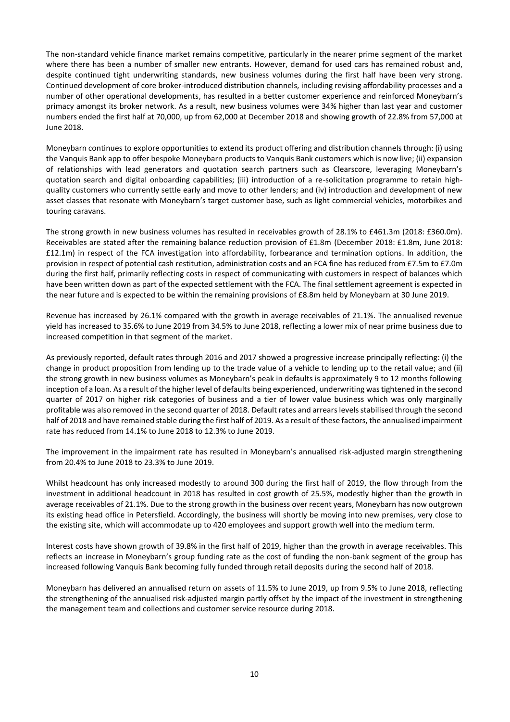The non-standard vehicle finance market remains competitive, particularly in the nearer prime segment of the market where there has been a number of smaller new entrants. However, demand for used cars has remained robust and, despite continued tight underwriting standards, new business volumes during the first half have been very strong. Continued development of core broker-introduced distribution channels, including revising affordability processes and a number of other operational developments, has resulted in a better customer experience and reinforced Moneybarn's primacy amongst its broker network. As a result, new business volumes were 34% higher than last year and customer numbers ended the first half at 70,000, up from 62,000 at December 2018 and showing growth of 22.8% from 57,000 at June 2018.

Moneybarn continues to explore opportunities to extend its product offering and distribution channels through: (i) using the Vanquis Bank app to offer bespoke Moneybarn products to Vanquis Bank customers which is now live; (ii) expansion of relationships with lead generators and quotation search partners such as Clearscore, leveraging Moneybarn's quotation search and digital onboarding capabilities; (iii) introduction of a re-solicitation programme to retain highquality customers who currently settle early and move to other lenders; and (iv) introduction and development of new asset classes that resonate with Moneybarn's target customer base, such as light commercial vehicles, motorbikes and touring caravans.

The strong growth in new business volumes has resulted in receivables growth of 28.1% to £461.3m (2018: £360.0m). Receivables are stated after the remaining balance reduction provision of £1.8m (December 2018: £1.8m, June 2018: £12.1m) in respect of the FCA investigation into affordability, forbearance and termination options. In addition, the provision in respect of potential cash restitution, administration costs and an FCA fine has reduced from £7.5m to £7.0m during the first half, primarily reflecting costs in respect of communicating with customers in respect of balances which have been written down as part of the expected settlement with the FCA. The final settlement agreement is expected in the near future and is expected to be within the remaining provisions of £8.8m held by Moneybarn at 30 June 2019.

Revenue has increased by 26.1% compared with the growth in average receivables of 21.1%. The annualised revenue yield has increased to 35.6% to June 2019 from 34.5% to June 2018, reflecting a lower mix of near prime business due to increased competition in that segment of the market.

As previously reported, default rates through 2016 and 2017 showed a progressive increase principally reflecting: (i) the change in product proposition from lending up to the trade value of a vehicle to lending up to the retail value; and (ii) the strong growth in new business volumes as Moneybarn's peak in defaults is approximately 9 to 12 months following inception of a loan. As a result of the higher level of defaults being experienced, underwriting was tightened in the second quarter of 2017 on higher risk categories of business and a tier of lower value business which was only marginally profitable was also removed in the second quarter of 2018. Default rates and arrears levels stabilised through the second half of 2018 and have remained stable during the first half of 2019. As a result of these factors, the annualised impairment rate has reduced from 14.1% to June 2018 to 12.3% to June 2019.

The improvement in the impairment rate has resulted in Moneybarn's annualised risk-adjusted margin strengthening from 20.4% to June 2018 to 23.3% to June 2019.

Whilst headcount has only increased modestly to around 300 during the first half of 2019, the flow through from the investment in additional headcount in 2018 has resulted in cost growth of 25.5%, modestly higher than the growth in average receivables of 21.1%. Due to the strong growth in the business over recent years, Moneybarn has now outgrown its existing head office in Petersfield. Accordingly, the business will shortly be moving into new premises, very close to the existing site, which will accommodate up to 420 employees and support growth well into the medium term.

Interest costs have shown growth of 39.8% in the first half of 2019, higher than the growth in average receivables. This reflects an increase in Moneybarn's group funding rate as the cost of funding the non-bank segment of the group has increased following Vanquis Bank becoming fully funded through retail deposits during the second half of 2018.

Moneybarn has delivered an annualised return on assets of 11.5% to June 2019, up from 9.5% to June 2018, reflecting the strengthening of the annualised risk-adjusted margin partly offset by the impact of the investment in strengthening the management team and collections and customer service resource during 2018.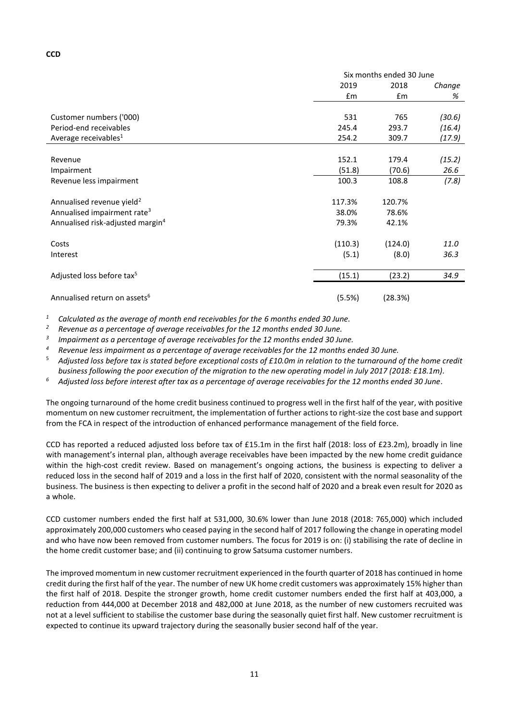|                                              |         | Six months ended 30 June |        |
|----------------------------------------------|---------|--------------------------|--------|
|                                              | 2019    | 2018                     | Change |
|                                              | £m      | £m                       | %      |
|                                              |         |                          |        |
| Customer numbers ('000)                      | 531     | 765                      | (30.6) |
| Period-end receivables                       | 245.4   | 293.7                    | (16.4) |
| Average receivables <sup>1</sup>             | 254.2   | 309.7                    | (17.9) |
|                                              |         |                          |        |
| Revenue                                      | 152.1   | 179.4                    | (15.2) |
| Impairment                                   | (51.8)  | (70.6)                   | 26.6   |
| Revenue less impairment                      | 100.3   | 108.8                    | (7.8)  |
| Annualised revenue yield <sup>2</sup>        | 117.3%  | 120.7%                   |        |
| Annualised impairment rate <sup>3</sup>      | 38.0%   | 78.6%                    |        |
| Annualised risk-adjusted margin <sup>4</sup> | 79.3%   | 42.1%                    |        |
| Costs                                        | (110.3) | (124.0)                  | 11.0   |
| Interest                                     | (5.1)   | (8.0)                    | 36.3   |
|                                              |         |                          |        |
| Adjusted loss before tax <sup>5</sup>        | (15.1)  | (23.2)                   | 34.9   |
| Annualised return on assets <sup>6</sup>     | (5.5%)  | (28.3%)                  |        |
|                                              |         |                          |        |

*<sup>1</sup> Calculated as the average of month end receivables for the 6 months ended 30 June.*

*<sup>2</sup> Revenue as a percentage of average receivables for the 12 months ended 30 June.*

*3 Impairment as a percentage of average receivables for the 12 months ended 30 June.*

*<sup>4</sup> Revenue less impairment as a percentage of average receivables for the 12 months ended 30 June.*

<sup>5</sup> *Adjusted loss before tax is stated before exceptional costs of £10.0m in relation to the turnaround of the home credit business following the poor execution of the migration to the new operating model in July 2017 (2018: £18.1m).*

*<sup>6</sup> Adjusted loss before interest after tax as a percentage of average receivables for the 12 months ended 30 June.*

The ongoing turnaround of the home credit business continued to progress well in the first half of the year, with positive momentum on new customer recruitment, the implementation of further actions to right-size the cost base and support from the FCA in respect of the introduction of enhanced performance management of the field force.

CCD has reported a reduced adjusted loss before tax of £15.1m in the first half (2018: loss of £23.2m), broadly in line with management's internal plan, although average receivables have been impacted by the new home credit guidance within the high-cost credit review. Based on management's ongoing actions, the business is expecting to deliver a reduced loss in the second half of 2019 and a loss in the first half of 2020, consistent with the normal seasonality of the business. The business is then expecting to deliver a profit in the second half of 2020 and a break even result for 2020 as a whole.

CCD customer numbers ended the first half at 531,000, 30.6% lower than June 2018 (2018: 765,000) which included approximately 200,000 customers who ceased paying in the second half of 2017 following the change in operating model and who have now been removed from customer numbers. The focus for 2019 is on: (i) stabilising the rate of decline in the home credit customer base; and (ii) continuing to grow Satsuma customer numbers.

The improved momentum in new customer recruitment experienced in the fourth quarter of 2018 has continued in home credit during the first half of the year. The number of new UK home credit customers was approximately 15% higher than the first half of 2018. Despite the stronger growth, home credit customer numbers ended the first half at 403,000, a reduction from 444,000 at December 2018 and 482,000 at June 2018, as the number of new customers recruited was not at a level sufficient to stabilise the customer base during the seasonally quiet first half. New customer recruitment is expected to continue its upward trajectory during the seasonally busier second half of the year.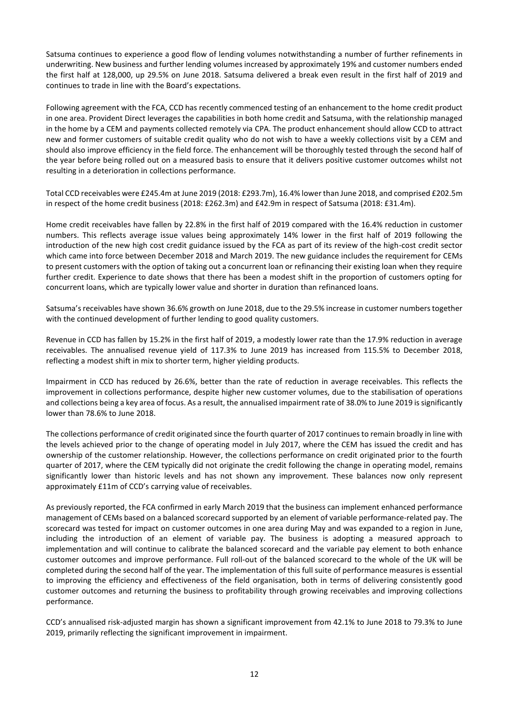Satsuma continues to experience a good flow of lending volumes notwithstanding a number of further refinements in underwriting. New business and further lending volumes increased by approximately 19% and customer numbers ended the first half at 128,000, up 29.5% on June 2018. Satsuma delivered a break even result in the first half of 2019 and continues to trade in line with the Board's expectations.

Following agreement with the FCA, CCD has recently commenced testing of an enhancement to the home credit product in one area. Provident Direct leverages the capabilities in both home credit and Satsuma, with the relationship managed in the home by a CEM and payments collected remotely via CPA. The product enhancement should allow CCD to attract new and former customers of suitable credit quality who do not wish to have a weekly collections visit by a CEM and should also improve efficiency in the field force. The enhancement will be thoroughly tested through the second half of the year before being rolled out on a measured basis to ensure that it delivers positive customer outcomes whilst not resulting in a deterioration in collections performance.

Total CCD receivables were £245.4m at June 2019 (2018: £293.7m), 16.4% lower than June 2018, and comprised £202.5m in respect of the home credit business (2018: £262.3m) and £42.9m in respect of Satsuma (2018: £31.4m).

Home credit receivables have fallen by 22.8% in the first half of 2019 compared with the 16.4% reduction in customer numbers. This reflects average issue values being approximately 14% lower in the first half of 2019 following the introduction of the new high cost credit guidance issued by the FCA as part of its review of the high-cost credit sector which came into force between December 2018 and March 2019. The new guidance includes the requirement for CEMs to present customers with the option of taking out a concurrent loan or refinancing their existing loan when they require further credit. Experience to date shows that there has been a modest shift in the proportion of customers opting for concurrent loans, which are typically lower value and shorter in duration than refinanced loans.

Satsuma's receivables have shown 36.6% growth on June 2018, due to the 29.5% increase in customer numbers together with the continued development of further lending to good quality customers.

Revenue in CCD has fallen by 15.2% in the first half of 2019, a modestly lower rate than the 17.9% reduction in average receivables. The annualised revenue yield of 117.3% to June 2019 has increased from 115.5% to December 2018, reflecting a modest shift in mix to shorter term, higher yielding products.

Impairment in CCD has reduced by 26.6%, better than the rate of reduction in average receivables. This reflects the improvement in collections performance, despite higher new customer volumes, due to the stabilisation of operations and collections being a key area of focus. As a result, the annualised impairment rate of 38.0% to June 2019 issignificantly lower than 78.6% to June 2018.

The collections performance of credit originated since the fourth quarter of 2017 continuesto remain broadly in line with the levels achieved prior to the change of operating model in July 2017, where the CEM has issued the credit and has ownership of the customer relationship. However, the collections performance on credit originated prior to the fourth quarter of 2017, where the CEM typically did not originate the credit following the change in operating model, remains significantly lower than historic levels and has not shown any improvement. These balances now only represent approximately £11m of CCD's carrying value of receivables.

As previously reported, the FCA confirmed in early March 2019 that the business can implement enhanced performance management of CEMs based on a balanced scorecard supported by an element of variable performance-related pay. The scorecard was tested for impact on customer outcomes in one area during May and was expanded to a region in June, including the introduction of an element of variable pay. The business is adopting a measured approach to implementation and will continue to calibrate the balanced scorecard and the variable pay element to both enhance customer outcomes and improve performance. Full roll-out of the balanced scorecard to the whole of the UK will be completed during the second half of the year. The implementation of this full suite of performance measures is essential to improving the efficiency and effectiveness of the field organisation, both in terms of delivering consistently good customer outcomes and returning the business to profitability through growing receivables and improving collections performance.

CCD's annualised risk-adjusted margin has shown a significant improvement from 42.1% to June 2018 to 79.3% to June 2019, primarily reflecting the significant improvement in impairment.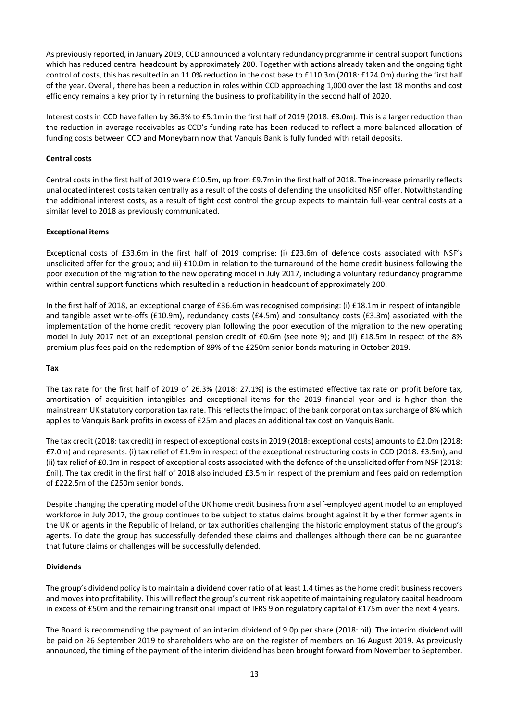As previously reported, in January 2019, CCD announced a voluntary redundancy programme in central support functions which has reduced central headcount by approximately 200. Together with actions already taken and the ongoing tight control of costs, this has resulted in an 11.0% reduction in the cost base to £110.3m (2018: £124.0m) during the first half of the year. Overall, there has been a reduction in roles within CCD approaching 1,000 over the last 18 months and cost efficiency remains a key priority in returning the business to profitability in the second half of 2020.

Interest costs in CCD have fallen by 36.3% to £5.1m in the first half of 2019 (2018: £8.0m). This is a larger reduction than the reduction in average receivables as CCD's funding rate has been reduced to reflect a more balanced allocation of funding costs between CCD and Moneybarn now that Vanquis Bank is fully funded with retail deposits.

# **Central costs**

Central costs in the first half of 2019 were £10.5m, up from £9.7m in the first half of 2018. The increase primarily reflects unallocated interest costs taken centrally as a result of the costs of defending the unsolicited NSF offer. Notwithstanding the additional interest costs, as a result of tight cost control the group expects to maintain full-year central costs at a similar level to 2018 as previously communicated.

# **Exceptional items**

Exceptional costs of £33.6m in the first half of 2019 comprise: (i) £23.6m of defence costs associated with NSF's unsolicited offer for the group; and (ii) £10.0m in relation to the turnaround of the home credit business following the poor execution of the migration to the new operating model in July 2017, including a voluntary redundancy programme within central support functions which resulted in a reduction in headcount of approximately 200.

In the first half of 2018, an exceptional charge of £36.6m was recognised comprising: (i) £18.1m in respect of intangible and tangible asset write-offs (£10.9m), redundancy costs (£4.5m) and consultancy costs (£3.3m) associated with the implementation of the home credit recovery plan following the poor execution of the migration to the new operating model in July 2017 net of an exceptional pension credit of £0.6m (see note 9); and (ii) £18.5m in respect of the 8% premium plus fees paid on the redemption of 89% of the £250m senior bonds maturing in October 2019.

# **Tax**

The tax rate for the first half of 2019 of 26.3% (2018: 27.1%) is the estimated effective tax rate on profit before tax, amortisation of acquisition intangibles and exceptional items for the 2019 financial year and is higher than the mainstream UK statutory corporation tax rate. This reflects the impact of the bank corporation tax surcharge of 8% which applies to Vanquis Bank profits in excess of £25m and places an additional tax cost on Vanquis Bank.

The tax credit (2018: tax credit) in respect of exceptional costs in 2019 (2018: exceptional costs) amounts to £2.0m (2018: £7.0m) and represents: (i) tax relief of £1.9m in respect of the exceptional restructuring costs in CCD (2018: £3.5m); and (ii) tax relief of £0.1m in respect of exceptional costs associated with the defence of the unsolicited offer from NSF (2018: £nil). The tax credit in the first half of 2018 also included £3.5m in respect of the premium and fees paid on redemption of £222.5m of the £250m senior bonds.

Despite changing the operating model of the UK home credit business from a self-employed agent model to an employed workforce in July 2017, the group continues to be subject to status claims brought against it by either former agents in the UK or agents in the Republic of Ireland, or tax authorities challenging the historic employment status of the group's agents. To date the group has successfully defended these claims and challenges although there can be no guarantee that future claims or challenges will be successfully defended.

# **Dividends**

The group's dividend policy isto maintain a dividend cover ratio of at least 1.4 times as the home credit business recovers and moves into profitability. This will reflect the group's current risk appetite of maintaining regulatory capital headroom in excess of £50m and the remaining transitional impact of IFRS 9 on regulatory capital of £175m over the next 4 years.

The Board is recommending the payment of an interim dividend of 9.0p per share (2018: nil). The interim dividend will be paid on 26 September 2019 to shareholders who are on the register of members on 16 August 2019. As previously announced, the timing of the payment of the interim dividend has been brought forward from November to September.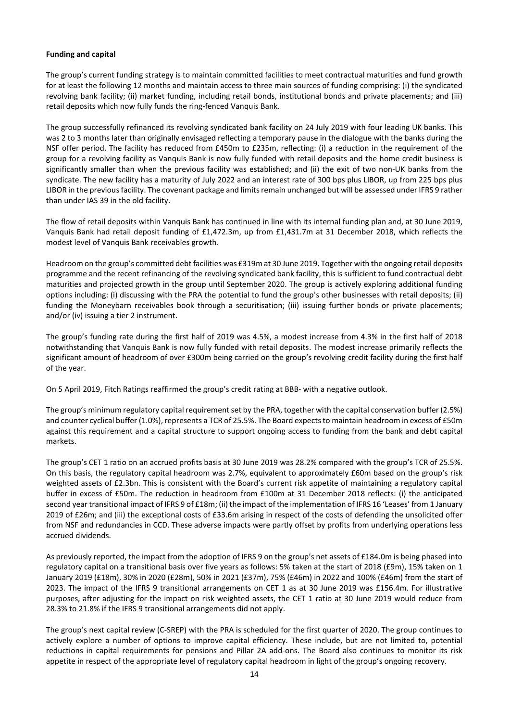### **Funding and capital**

The group's current funding strategy is to maintain committed facilities to meet contractual maturities and fund growth for at least the following 12 months and maintain access to three main sources of funding comprising: (i) the syndicated revolving bank facility; (ii) market funding, including retail bonds, institutional bonds and private placements; and (iii) retail deposits which now fully funds the ring-fenced Vanquis Bank.

The group successfully refinanced its revolving syndicated bank facility on 24 July 2019 with four leading UK banks. This was 2 to 3 months later than originally envisaged reflecting a temporary pause in the dialogue with the banks during the NSF offer period. The facility has reduced from £450m to £235m, reflecting: (i) a reduction in the requirement of the group for a revolving facility as Vanquis Bank is now fully funded with retail deposits and the home credit business is significantly smaller than when the previous facility was established; and (ii) the exit of two non-UK banks from the syndicate. The new facility has a maturity of July 2022 and an interest rate of 300 bps plus LIBOR, up from 225 bps plus LIBOR in the previous facility. The covenant package and limits remain unchanged but will be assessed under IFRS 9 rather than under IAS 39 in the old facility.

The flow of retail deposits within Vanquis Bank has continued in line with its internal funding plan and, at 30 June 2019, Vanquis Bank had retail deposit funding of £1,472.3m, up from £1,431.7m at 31 December 2018, which reflects the modest level of Vanquis Bank receivables growth.

Headroom on the group's committed debt facilities was £319m at 30 June 2019. Together with the ongoing retail deposits programme and the recent refinancing of the revolving syndicated bank facility, this is sufficient to fund contractual debt maturities and projected growth in the group until September 2020. The group is actively exploring additional funding options including: (i) discussing with the PRA the potential to fund the group's other businesses with retail deposits; (ii) funding the Moneybarn receivables book through a securitisation; (iii) issuing further bonds or private placements; and/or (iv) issuing a tier 2 instrument.

The group's funding rate during the first half of 2019 was 4.5%, a modest increase from 4.3% in the first half of 2018 notwithstanding that Vanquis Bank is now fully funded with retail deposits. The modest increase primarily reflects the significant amount of headroom of over £300m being carried on the group's revolving credit facility during the first half of the year.

On 5 April 2019, Fitch Ratings reaffirmed the group's credit rating at BBB- with a negative outlook.

The group's minimum regulatory capital requirement set by the PRA, together with the capital conservation buffer (2.5%) and counter cyclical buffer (1.0%), represents a TCR of 25.5%. The Board expectsto maintain headroom in excess of £50m against this requirement and a capital structure to support ongoing access to funding from the bank and debt capital markets.

The group's CET 1 ratio on an accrued profits basis at 30 June 2019 was 28.2% compared with the group's TCR of 25.5%. On this basis, the regulatory capital headroom was 2.7%, equivalent to approximately £60m based on the group's risk weighted assets of £2.3bn. This is consistent with the Board's current risk appetite of maintaining a regulatory capital buffer in excess of £50m. The reduction in headroom from £100m at 31 December 2018 reflects: (i) the anticipated second year transitional impact of IFRS 9 of £18m; (ii) the impact of the implementation of IFRS 16 'Leases' from 1 January 2019 of £26m; and (iii) the exceptional costs of £33.6m arising in respect of the costs of defending the unsolicited offer from NSF and redundancies in CCD. These adverse impacts were partly offset by profits from underlying operations less accrued dividends.

As previously reported, the impact from the adoption of IFRS 9 on the group's net assets of £184.0m is being phased into regulatory capital on a transitional basis over five years as follows: 5% taken at the start of 2018 (£9m), 15% taken on 1 January 2019 (£18m), 30% in 2020 (£28m), 50% in 2021 (£37m), 75% (£46m) in 2022 and 100% (£46m) from the start of 2023. The impact of the IFRS 9 transitional arrangements on CET 1 as at 30 June 2019 was £156.4m. For illustrative purposes, after adjusting for the impact on risk weighted assets, the CET 1 ratio at 30 June 2019 would reduce from 28.3% to 21.8% if the IFRS 9 transitional arrangements did not apply.

The group's next capital review (C-SREP) with the PRA is scheduled for the first quarter of 2020. The group continues to actively explore a number of options to improve capital efficiency. These include, but are not limited to, potential reductions in capital requirements for pensions and Pillar 2A add-ons. The Board also continues to monitor its risk appetite in respect of the appropriate level of regulatory capital headroom in light of the group's ongoing recovery.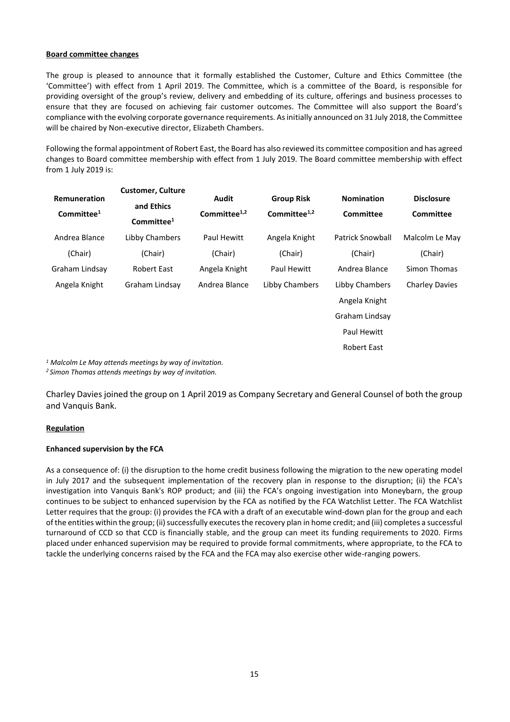### **Board committee changes**

The group is pleased to announce that it formally established the Customer, Culture and Ethics Committee (the 'Committee') with effect from 1 April 2019. The Committee, which is a committee of the Board, is responsible for providing oversight of the group's review, delivery and embedding of its culture, offerings and business processes to ensure that they are focused on achieving fair customer outcomes. The Committee will also support the Board's compliance with the evolving corporate governance requirements. As initially announced on 31 July 2018, the Committee will be chaired by Non-executive director, Elizabeth Chambers.

Following the formal appointment of Robert East, the Board has also reviewed its committee composition and has agreed changes to Board committee membership with effect from 1 July 2019. The Board committee membership with effect from 1 July 2019 is:

| Remuneration<br>Committee <sup>1</sup> | <b>Customer, Culture</b><br>and Ethics<br>Committee <sup>1</sup> | Audit<br>Committee $1,2$ | <b>Group Risk</b><br>Committee $1,2$ | <b>Nomination</b><br><b>Committee</b> | <b>Disclosure</b><br><b>Committee</b> |
|----------------------------------------|------------------------------------------------------------------|--------------------------|--------------------------------------|---------------------------------------|---------------------------------------|
| Andrea Blance                          | Libby Chambers                                                   | Paul Hewitt              | Angela Knight                        | <b>Patrick Snowball</b>               | Malcolm Le May                        |
| (Chair)                                | (Chair)                                                          | (Chair)                  | (Chair)                              | (Chair)                               | (Chair)                               |
| Graham Lindsay                         | <b>Robert East</b>                                               | Angela Knight            | Paul Hewitt                          | Andrea Blance                         | Simon Thomas                          |
| Angela Knight                          | Graham Lindsay                                                   | Andrea Blance            | Libby Chambers                       | Libby Chambers                        | <b>Charley Davies</b>                 |
|                                        |                                                                  |                          |                                      | Angela Knight                         |                                       |
|                                        |                                                                  |                          |                                      | Graham Lindsay                        |                                       |
|                                        |                                                                  |                          |                                      | Paul Hewitt                           |                                       |
|                                        |                                                                  |                          |                                      | <b>Robert East</b>                    |                                       |
|                                        | $1$ Malcolm Le May attends meetings by way of invitation.        |                          |                                      |                                       |                                       |

*<sup>2</sup> Simon Thomas attends meetings by way of invitation.*

Charley Davies joined the group on 1 April 2019 as Company Secretary and General Counsel of both the group and Vanquis Bank.

# **Regulation**

# **Enhanced supervision by the FCA**

As a consequence of: (i) the disruption to the home credit business following the migration to the new operating model in July 2017 and the subsequent implementation of the recovery plan in response to the disruption; (ii) the FCA's investigation into Vanquis Bank's ROP product; and (iii) the FCA's ongoing investigation into Moneybarn, the group continues to be subject to enhanced supervision by the FCA as notified by the FCA Watchlist Letter. The FCA Watchlist Letter requires that the group: (i) provides the FCA with a draft of an executable wind-down plan for the group and each of the entities within the group; (ii) successfully executes the recovery plan in home credit; and (iii) completes a successful turnaround of CCD so that CCD is financially stable, and the group can meet its funding requirements to 2020. Firms placed under enhanced supervision may be required to provide formal commitments, where appropriate, to the FCA to tackle the underlying concerns raised by the FCA and the FCA may also exercise other wide-ranging powers.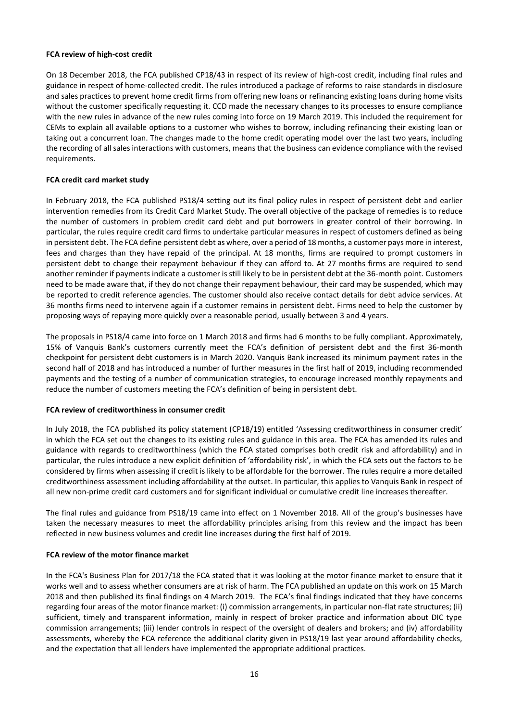#### **FCA review of high-cost credit**

On 18 December 2018, the FCA published CP18/43 in respect of its review of high-cost credit, including final rules and guidance in respect of home-collected credit. The rules introduced a package of reforms to raise standards in disclosure and sales practices to prevent home credit firms from offering new loans or refinancing existing loans during home visits without the customer specifically requesting it. CCD made the necessary changes to its processes to ensure compliance with the new rules in advance of the new rules coming into force on 19 March 2019. This included the requirement for CEMs to explain all available options to a customer who wishes to borrow, including refinancing their existing loan or taking out a concurrent loan. The changes made to the home credit operating model over the last two years, including the recording of all sales interactions with customers, means that the business can evidence compliance with the revised requirements.

#### **FCA credit card market study**

In February 2018, the FCA published PS18/4 setting out its final policy rules in respect of persistent debt and earlier intervention remedies from its Credit Card Market Study. The overall objective of the package of remedies is to reduce the number of customers in problem credit card debt and put borrowers in greater control of their borrowing. In particular, the rules require credit card firms to undertake particular measures in respect of customers defined as being in persistent debt. The FCA define persistent debt as where, over a period of 18 months, a customer pays more in interest, fees and charges than they have repaid of the principal. At 18 months, firms are required to prompt customers in persistent debt to change their repayment behaviour if they can afford to. At 27 months firms are required to send another reminder if payments indicate a customer is still likely to be in persistent debt at the 36-month point. Customers need to be made aware that, if they do not change their repayment behaviour, their card may be suspended, which may be reported to credit reference agencies. The customer should also receive contact details for debt advice services. At 36 months firms need to intervene again if a customer remains in persistent debt. Firms need to help the customer by proposing ways of repaying more quickly over a reasonable period, usually between 3 and 4 years.

The proposals in PS18/4 came into force on 1 March 2018 and firms had 6 months to be fully compliant. Approximately, 15% of Vanquis Bank's customers currently meet the FCA's definition of persistent debt and the first 36-month checkpoint for persistent debt customers is in March 2020. Vanquis Bank increased its minimum payment rates in the second half of 2018 and has introduced a number of further measures in the first half of 2019, including recommended payments and the testing of a number of communication strategies, to encourage increased monthly repayments and reduce the number of customers meeting the FCA's definition of being in persistent debt.

# **FCA review of creditworthiness in consumer credit**

In July 2018, the FCA published its policy statement (CP18/19) entitled 'Assessing creditworthiness in consumer credit' in which the FCA set out the changes to its existing rules and guidance in this area. The FCA has amended its rules and guidance with regards to creditworthiness (which the FCA stated comprises both credit risk and affordability) and in particular, the rules introduce a new explicit definition of 'affordability risk', in which the FCA sets out the factors to be considered by firms when assessing if credit is likely to be affordable for the borrower. The rules require a more detailed creditworthiness assessment including affordability at the outset. In particular, this applies to Vanquis Bank in respect of all new non-prime credit card customers and for significant individual or cumulative credit line increases thereafter.

The final rules and guidance from PS18/19 came into effect on 1 November 2018. All of the group's businesses have taken the necessary measures to meet the affordability principles arising from this review and the impact has been reflected in new business volumes and credit line increases during the first half of 2019.

# **FCA review of the motor finance market**

In the FCA's Business Plan for 2017/18 the FCA stated that it was looking at the motor finance market to ensure that it works well and to assess whether consumers are at risk of harm. The FCA published an update on this work on 15 March 2018 and then published its final findings on 4 March 2019. The FCA's final findings indicated that they have concerns regarding four areas of the motor finance market: (i) commission arrangements, in particular non-flat rate structures; (ii) sufficient, timely and transparent information, mainly in respect of broker practice and information about DIC type commission arrangements; (iii) lender controls in respect of the oversight of dealers and brokers; and (iv) affordability assessments, whereby the FCA reference the additional clarity given in PS18/19 last year around affordability checks, and the expectation that all lenders have implemented the appropriate additional practices.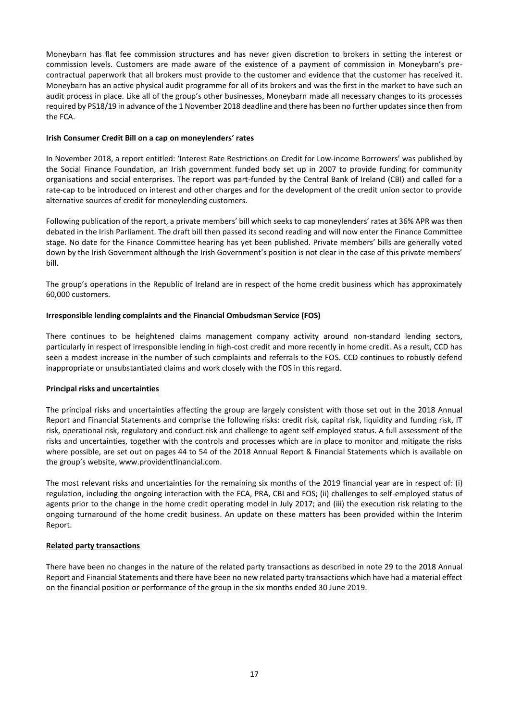Moneybarn has flat fee commission structures and has never given discretion to brokers in setting the interest or commission levels. Customers are made aware of the existence of a payment of commission in Moneybarn's precontractual paperwork that all brokers must provide to the customer and evidence that the customer has received it. Moneybarn has an active physical audit programme for all of its brokers and was the first in the market to have such an audit process in place. Like all of the group's other businesses, Moneybarn made all necessary changes to its processes required by PS18/19 in advance of the 1 November 2018 deadline and there has been no further updates since then from the FCA.

# **Irish Consumer Credit Bill on a cap on moneylenders' rates**

In November 2018, a report entitled: 'Interest Rate Restrictions on Credit for Low-income Borrowers' was published by the Social Finance Foundation, an Irish government funded body set up in 2007 to provide funding for community organisations and social enterprises. The report was part-funded by the Central Bank of Ireland (CBI) and called for a rate-cap to be introduced on interest and other charges and for the development of the credit union sector to provide alternative sources of credit for moneylending customers.

Following publication of the report, a private members' bill which seeks to cap moneylenders' rates at 36% APR was then debated in the Irish Parliament. The draft bill then passed its second reading and will now enter the Finance Committee stage. No date for the Finance Committee hearing has yet been published. Private members' bills are generally voted down by the Irish Government although the Irish Government's position is not clear in the case of this private members' bill.

The group's operations in the Republic of Ireland are in respect of the home credit business which has approximately 60,000 customers.

# **Irresponsible lending complaints and the Financial Ombudsman Service (FOS)**

There continues to be heightened claims management company activity around non-standard lending sectors, particularly in respect of irresponsible lending in high-cost credit and more recently in home credit. As a result, CCD has seen a modest increase in the number of such complaints and referrals to the FOS. CCD continues to robustly defend inappropriate or unsubstantiated claims and work closely with the FOS in this regard.

# **Principal risks and uncertainties**

The principal risks and uncertainties affecting the group are largely consistent with those set out in the 2018 Annual Report and Financial Statements and comprise the following risks: credit risk, capital risk, liquidity and funding risk, IT risk, operational risk, regulatory and conduct risk and challenge to agent self-employed status. A full assessment of the risks and uncertainties, together with the controls and processes which are in place to monitor and mitigate the risks where possible, are set out on pages 44 to 54 of the 2018 Annual Report & Financial Statements which is available on the group's website, www.providentfinancial.com.

The most relevant risks and uncertainties for the remaining six months of the 2019 financial year are in respect of: (i) regulation, including the ongoing interaction with the FCA, PRA, CBI and FOS; (ii) challenges to self-employed status of agents prior to the change in the home credit operating model in July 2017; and (iii) the execution risk relating to the ongoing turnaround of the home credit business. An update on these matters has been provided within the Interim Report.

# **Related party transactions**

There have been no changes in the nature of the related party transactions as described in note 29 to the 2018 Annual Report and Financial Statements and there have been no new related party transactions which have had a material effect on the financial position or performance of the group in the six months ended 30 June 2019.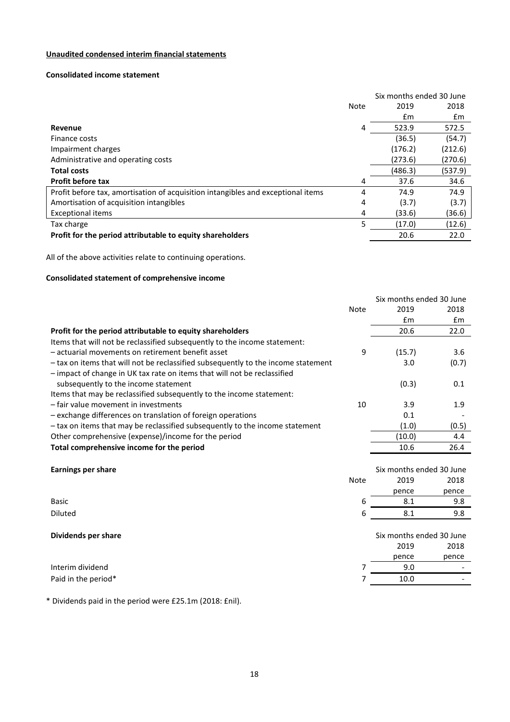# **Unaudited condensed interim financial statements**

# **Consolidated income statement**

|                                                                                  |      | Six months ended 30 June |         |  |
|----------------------------------------------------------------------------------|------|--------------------------|---------|--|
|                                                                                  | Note | 2019                     | 2018    |  |
|                                                                                  |      | £m                       | £m      |  |
| <b>Revenue</b>                                                                   | 4    | 523.9                    | 572.5   |  |
| Finance costs                                                                    |      | (36.5)                   | (54.7)  |  |
| Impairment charges                                                               |      | (176.2)                  | (212.6) |  |
| Administrative and operating costs                                               |      | (273.6)                  | (270.6) |  |
| <b>Total costs</b>                                                               |      | (486.3)                  | (537.9) |  |
| <b>Profit before tax</b>                                                         | 4    | 37.6                     | 34.6    |  |
| Profit before tax, amortisation of acquisition intangibles and exceptional items | 4    | 74.9                     | 74.9    |  |
| Amortisation of acquisition intangibles                                          | 4    | (3.7)                    | (3.7)   |  |
| <b>Exceptional items</b>                                                         | 4    | (33.6)                   | (36.6)  |  |
| Tax charge                                                                       | 5    | (17.0)                   | (12.6)  |  |
| Profit for the period attributable to equity shareholders                        |      | 20.6                     | 22.0    |  |

All of the above activities relate to continuing operations.

# **Consolidated statement of comprehensive income**

|                                                                                   |             | Six months ended 30 June |       |
|-----------------------------------------------------------------------------------|-------------|--------------------------|-------|
|                                                                                   | <b>Note</b> | 2019                     | 2018  |
|                                                                                   |             | £m                       | £m    |
| Profit for the period attributable to equity shareholders                         |             | 20.6                     | 22.0  |
| Items that will not be reclassified subsequently to the income statement:         |             |                          |       |
| - actuarial movements on retirement benefit asset                                 | 9           | (15.7)                   | 3.6   |
| - tax on items that will not be reclassified subsequently to the income statement |             | 3.0                      | (0.7) |
| - impact of change in UK tax rate on items that will not be reclassified          |             |                          |       |
| subsequently to the income statement                                              |             | (0.3)                    | 0.1   |
| Items that may be reclassified subsequently to the income statement:              |             |                          |       |
| - fair value movement in investments                                              | 10          | 3.9                      | 1.9   |
| - exchange differences on translation of foreign operations                       |             | 0.1                      |       |
| - tax on items that may be reclassified subsequently to the income statement      |             | (1.0)                    | (0.5) |
| Other comprehensive (expense)/income for the period                               |             | (10.0)                   | 4.4   |
| Total comprehensive income for the period                                         |             | 10.6                     | 26.4  |
|                                                                                   |             |                          |       |
| <b>Earnings per share</b>                                                         |             | Six months ended 30 June |       |
|                                                                                   | <b>Note</b> | 2019                     | 2018  |

|                     |   | ----                     | ---   |  |
|---------------------|---|--------------------------|-------|--|
|                     |   | pence                    | pence |  |
| Basic               | 6 | 8.1                      | 9.8   |  |
| Diluted             | 6 | 8.1                      | 9.8   |  |
|                     |   |                          |       |  |
| Dividends per share |   | Six months ended 30 June |       |  |
|                     |   | 2019                     | 2018  |  |
|                     |   | pence                    | pence |  |
| Interim dividend    |   | 9.0                      |       |  |
| Paid in the period* |   | 10.0                     |       |  |
|                     |   |                          |       |  |

\* Dividends paid in the period were £25.1m (2018: £nil).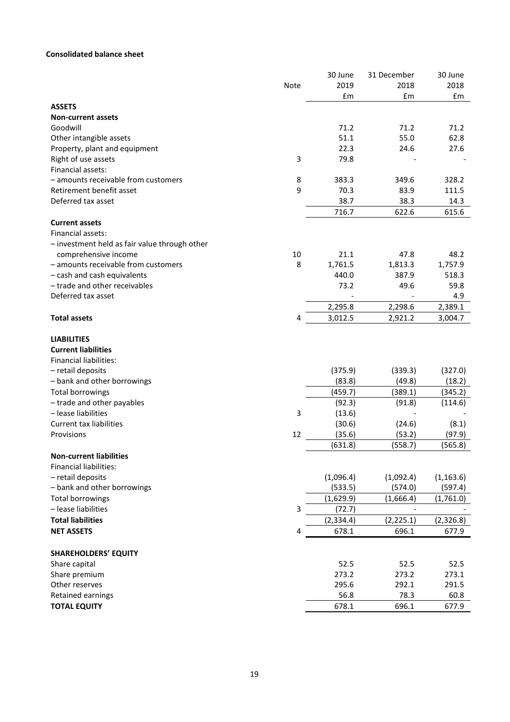# **Consolidated balance sheet**

| £m<br>£m<br>£m<br><b>ASSETS</b><br><b>Non-current assets</b><br>Goodwill<br>71.2<br>71.2<br>71.2<br>51.1<br>55.0<br>62.8<br>Other intangible assets<br>Property, plant and equipment<br>22.3<br>24.6<br>27.6<br>$\mathsf 3$<br>Right of use assets<br>79.8<br>Financial assets:<br>- amounts receivable from customers<br>8<br>383.3<br>349.6<br>328.2<br>Retirement benefit asset<br>9<br>70.3<br>83.9<br>111.5<br>38.3<br>Deferred tax asset<br>38.7<br>14.3<br>716.7<br>622.6<br>615.6<br><b>Current assets</b><br>Financial assets:<br>- investment held as fair value through other<br>comprehensive income<br>10<br>21.1<br>47.8<br>48.2<br>- amounts receivable from customers<br>8<br>1,761.5<br>1,813.3<br>1,757.9<br>440.0<br>- cash and cash equivalents<br>387.9<br>518.3<br>- trade and other receivables<br>73.2<br>49.6<br>59.8<br>Deferred tax asset<br>4.9<br>2,298.6<br>2,389.1<br>2,295.8<br><b>Total assets</b><br>4<br>3,012.5<br>2,921.2<br>3,004.7<br><b>LIABILITIES</b><br><b>Current liabilities</b><br><b>Financial liabilities:</b><br>(375.9)<br>- retail deposits<br>(339.3)<br>(327.0)<br>- bank and other borrowings<br>(83.8)<br>(49.8)<br>(18.2)<br>(459.7)<br>(389.1)<br>Total borrowings<br>(345.2)<br>- trade and other payables<br>(92.3)<br>(91.8)<br>(114.6)<br>- lease liabilities<br>3<br>(13.6)<br><b>Current tax liabilities</b><br>(30.6)<br>(8.1)<br>(24.6)<br>Provisions<br>12<br>(35.6)<br>(53.2)<br>(97.9)<br>(631.8)<br>(558.7)<br>(565.8)<br><b>Non-current liabilities</b><br><b>Financial liabilities:</b><br>(1,096.4)<br>(1, 163.6)<br>- retail deposits<br>(1,092.4)<br>- bank and other borrowings<br>(533.5)<br>(597.4)<br>(574.0)<br><b>Total borrowings</b><br>(1,629.9)<br>(1,666.4)<br>(1,761.0)<br>3<br>- lease liabilities<br>(72.7)<br><b>Total liabilities</b><br>(2, 225.1)<br>(2, 334.4)<br>(2,326.8)<br>678.1<br><b>NET ASSETS</b><br>696.1<br>677.9<br>4<br><b>SHAREHOLDERS' EQUITY</b><br>52.5<br>52.5<br>52.5<br>Share capital<br>Share premium<br>273.2<br>273.2<br>273.1<br>Other reserves<br>295.6<br>292.1<br>291.5<br>78.3<br>Retained earnings<br>56.8<br>60.8<br><b>TOTAL EQUITY</b><br>678.1<br>696.1<br>677.9 | Note | 30 June<br>2019 | 31 December<br>2018 | 30 June<br>2018 |
|-----------------------------------------------------------------------------------------------------------------------------------------------------------------------------------------------------------------------------------------------------------------------------------------------------------------------------------------------------------------------------------------------------------------------------------------------------------------------------------------------------------------------------------------------------------------------------------------------------------------------------------------------------------------------------------------------------------------------------------------------------------------------------------------------------------------------------------------------------------------------------------------------------------------------------------------------------------------------------------------------------------------------------------------------------------------------------------------------------------------------------------------------------------------------------------------------------------------------------------------------------------------------------------------------------------------------------------------------------------------------------------------------------------------------------------------------------------------------------------------------------------------------------------------------------------------------------------------------------------------------------------------------------------------------------------------------------------------------------------------------------------------------------------------------------------------------------------------------------------------------------------------------------------------------------------------------------------------------------------------------------------------------------------------------------------------------------------------------------------------------------------------------------------------------------------------------|------|-----------------|---------------------|-----------------|
|                                                                                                                                                                                                                                                                                                                                                                                                                                                                                                                                                                                                                                                                                                                                                                                                                                                                                                                                                                                                                                                                                                                                                                                                                                                                                                                                                                                                                                                                                                                                                                                                                                                                                                                                                                                                                                                                                                                                                                                                                                                                                                                                                                                               |      |                 |                     |                 |
|                                                                                                                                                                                                                                                                                                                                                                                                                                                                                                                                                                                                                                                                                                                                                                                                                                                                                                                                                                                                                                                                                                                                                                                                                                                                                                                                                                                                                                                                                                                                                                                                                                                                                                                                                                                                                                                                                                                                                                                                                                                                                                                                                                                               |      |                 |                     |                 |
|                                                                                                                                                                                                                                                                                                                                                                                                                                                                                                                                                                                                                                                                                                                                                                                                                                                                                                                                                                                                                                                                                                                                                                                                                                                                                                                                                                                                                                                                                                                                                                                                                                                                                                                                                                                                                                                                                                                                                                                                                                                                                                                                                                                               |      |                 |                     |                 |
|                                                                                                                                                                                                                                                                                                                                                                                                                                                                                                                                                                                                                                                                                                                                                                                                                                                                                                                                                                                                                                                                                                                                                                                                                                                                                                                                                                                                                                                                                                                                                                                                                                                                                                                                                                                                                                                                                                                                                                                                                                                                                                                                                                                               |      |                 |                     |                 |
|                                                                                                                                                                                                                                                                                                                                                                                                                                                                                                                                                                                                                                                                                                                                                                                                                                                                                                                                                                                                                                                                                                                                                                                                                                                                                                                                                                                                                                                                                                                                                                                                                                                                                                                                                                                                                                                                                                                                                                                                                                                                                                                                                                                               |      |                 |                     |                 |
|                                                                                                                                                                                                                                                                                                                                                                                                                                                                                                                                                                                                                                                                                                                                                                                                                                                                                                                                                                                                                                                                                                                                                                                                                                                                                                                                                                                                                                                                                                                                                                                                                                                                                                                                                                                                                                                                                                                                                                                                                                                                                                                                                                                               |      |                 |                     |                 |
|                                                                                                                                                                                                                                                                                                                                                                                                                                                                                                                                                                                                                                                                                                                                                                                                                                                                                                                                                                                                                                                                                                                                                                                                                                                                                                                                                                                                                                                                                                                                                                                                                                                                                                                                                                                                                                                                                                                                                                                                                                                                                                                                                                                               |      |                 |                     |                 |
|                                                                                                                                                                                                                                                                                                                                                                                                                                                                                                                                                                                                                                                                                                                                                                                                                                                                                                                                                                                                                                                                                                                                                                                                                                                                                                                                                                                                                                                                                                                                                                                                                                                                                                                                                                                                                                                                                                                                                                                                                                                                                                                                                                                               |      |                 |                     |                 |
|                                                                                                                                                                                                                                                                                                                                                                                                                                                                                                                                                                                                                                                                                                                                                                                                                                                                                                                                                                                                                                                                                                                                                                                                                                                                                                                                                                                                                                                                                                                                                                                                                                                                                                                                                                                                                                                                                                                                                                                                                                                                                                                                                                                               |      |                 |                     |                 |
|                                                                                                                                                                                                                                                                                                                                                                                                                                                                                                                                                                                                                                                                                                                                                                                                                                                                                                                                                                                                                                                                                                                                                                                                                                                                                                                                                                                                                                                                                                                                                                                                                                                                                                                                                                                                                                                                                                                                                                                                                                                                                                                                                                                               |      |                 |                     |                 |
|                                                                                                                                                                                                                                                                                                                                                                                                                                                                                                                                                                                                                                                                                                                                                                                                                                                                                                                                                                                                                                                                                                                                                                                                                                                                                                                                                                                                                                                                                                                                                                                                                                                                                                                                                                                                                                                                                                                                                                                                                                                                                                                                                                                               |      |                 |                     |                 |
|                                                                                                                                                                                                                                                                                                                                                                                                                                                                                                                                                                                                                                                                                                                                                                                                                                                                                                                                                                                                                                                                                                                                                                                                                                                                                                                                                                                                                                                                                                                                                                                                                                                                                                                                                                                                                                                                                                                                                                                                                                                                                                                                                                                               |      |                 |                     |                 |
|                                                                                                                                                                                                                                                                                                                                                                                                                                                                                                                                                                                                                                                                                                                                                                                                                                                                                                                                                                                                                                                                                                                                                                                                                                                                                                                                                                                                                                                                                                                                                                                                                                                                                                                                                                                                                                                                                                                                                                                                                                                                                                                                                                                               |      |                 |                     |                 |
|                                                                                                                                                                                                                                                                                                                                                                                                                                                                                                                                                                                                                                                                                                                                                                                                                                                                                                                                                                                                                                                                                                                                                                                                                                                                                                                                                                                                                                                                                                                                                                                                                                                                                                                                                                                                                                                                                                                                                                                                                                                                                                                                                                                               |      |                 |                     |                 |
|                                                                                                                                                                                                                                                                                                                                                                                                                                                                                                                                                                                                                                                                                                                                                                                                                                                                                                                                                                                                                                                                                                                                                                                                                                                                                                                                                                                                                                                                                                                                                                                                                                                                                                                                                                                                                                                                                                                                                                                                                                                                                                                                                                                               |      |                 |                     |                 |
|                                                                                                                                                                                                                                                                                                                                                                                                                                                                                                                                                                                                                                                                                                                                                                                                                                                                                                                                                                                                                                                                                                                                                                                                                                                                                                                                                                                                                                                                                                                                                                                                                                                                                                                                                                                                                                                                                                                                                                                                                                                                                                                                                                                               |      |                 |                     |                 |
|                                                                                                                                                                                                                                                                                                                                                                                                                                                                                                                                                                                                                                                                                                                                                                                                                                                                                                                                                                                                                                                                                                                                                                                                                                                                                                                                                                                                                                                                                                                                                                                                                                                                                                                                                                                                                                                                                                                                                                                                                                                                                                                                                                                               |      |                 |                     |                 |
|                                                                                                                                                                                                                                                                                                                                                                                                                                                                                                                                                                                                                                                                                                                                                                                                                                                                                                                                                                                                                                                                                                                                                                                                                                                                                                                                                                                                                                                                                                                                                                                                                                                                                                                                                                                                                                                                                                                                                                                                                                                                                                                                                                                               |      |                 |                     |                 |
|                                                                                                                                                                                                                                                                                                                                                                                                                                                                                                                                                                                                                                                                                                                                                                                                                                                                                                                                                                                                                                                                                                                                                                                                                                                                                                                                                                                                                                                                                                                                                                                                                                                                                                                                                                                                                                                                                                                                                                                                                                                                                                                                                                                               |      |                 |                     |                 |
|                                                                                                                                                                                                                                                                                                                                                                                                                                                                                                                                                                                                                                                                                                                                                                                                                                                                                                                                                                                                                                                                                                                                                                                                                                                                                                                                                                                                                                                                                                                                                                                                                                                                                                                                                                                                                                                                                                                                                                                                                                                                                                                                                                                               |      |                 |                     |                 |
|                                                                                                                                                                                                                                                                                                                                                                                                                                                                                                                                                                                                                                                                                                                                                                                                                                                                                                                                                                                                                                                                                                                                                                                                                                                                                                                                                                                                                                                                                                                                                                                                                                                                                                                                                                                                                                                                                                                                                                                                                                                                                                                                                                                               |      |                 |                     |                 |
|                                                                                                                                                                                                                                                                                                                                                                                                                                                                                                                                                                                                                                                                                                                                                                                                                                                                                                                                                                                                                                                                                                                                                                                                                                                                                                                                                                                                                                                                                                                                                                                                                                                                                                                                                                                                                                                                                                                                                                                                                                                                                                                                                                                               |      |                 |                     |                 |
|                                                                                                                                                                                                                                                                                                                                                                                                                                                                                                                                                                                                                                                                                                                                                                                                                                                                                                                                                                                                                                                                                                                                                                                                                                                                                                                                                                                                                                                                                                                                                                                                                                                                                                                                                                                                                                                                                                                                                                                                                                                                                                                                                                                               |      |                 |                     |                 |
|                                                                                                                                                                                                                                                                                                                                                                                                                                                                                                                                                                                                                                                                                                                                                                                                                                                                                                                                                                                                                                                                                                                                                                                                                                                                                                                                                                                                                                                                                                                                                                                                                                                                                                                                                                                                                                                                                                                                                                                                                                                                                                                                                                                               |      |                 |                     |                 |
|                                                                                                                                                                                                                                                                                                                                                                                                                                                                                                                                                                                                                                                                                                                                                                                                                                                                                                                                                                                                                                                                                                                                                                                                                                                                                                                                                                                                                                                                                                                                                                                                                                                                                                                                                                                                                                                                                                                                                                                                                                                                                                                                                                                               |      |                 |                     |                 |
|                                                                                                                                                                                                                                                                                                                                                                                                                                                                                                                                                                                                                                                                                                                                                                                                                                                                                                                                                                                                                                                                                                                                                                                                                                                                                                                                                                                                                                                                                                                                                                                                                                                                                                                                                                                                                                                                                                                                                                                                                                                                                                                                                                                               |      |                 |                     |                 |
|                                                                                                                                                                                                                                                                                                                                                                                                                                                                                                                                                                                                                                                                                                                                                                                                                                                                                                                                                                                                                                                                                                                                                                                                                                                                                                                                                                                                                                                                                                                                                                                                                                                                                                                                                                                                                                                                                                                                                                                                                                                                                                                                                                                               |      |                 |                     |                 |
|                                                                                                                                                                                                                                                                                                                                                                                                                                                                                                                                                                                                                                                                                                                                                                                                                                                                                                                                                                                                                                                                                                                                                                                                                                                                                                                                                                                                                                                                                                                                                                                                                                                                                                                                                                                                                                                                                                                                                                                                                                                                                                                                                                                               |      |                 |                     |                 |
|                                                                                                                                                                                                                                                                                                                                                                                                                                                                                                                                                                                                                                                                                                                                                                                                                                                                                                                                                                                                                                                                                                                                                                                                                                                                                                                                                                                                                                                                                                                                                                                                                                                                                                                                                                                                                                                                                                                                                                                                                                                                                                                                                                                               |      |                 |                     |                 |
|                                                                                                                                                                                                                                                                                                                                                                                                                                                                                                                                                                                                                                                                                                                                                                                                                                                                                                                                                                                                                                                                                                                                                                                                                                                                                                                                                                                                                                                                                                                                                                                                                                                                                                                                                                                                                                                                                                                                                                                                                                                                                                                                                                                               |      |                 |                     |                 |
|                                                                                                                                                                                                                                                                                                                                                                                                                                                                                                                                                                                                                                                                                                                                                                                                                                                                                                                                                                                                                                                                                                                                                                                                                                                                                                                                                                                                                                                                                                                                                                                                                                                                                                                                                                                                                                                                                                                                                                                                                                                                                                                                                                                               |      |                 |                     |                 |
|                                                                                                                                                                                                                                                                                                                                                                                                                                                                                                                                                                                                                                                                                                                                                                                                                                                                                                                                                                                                                                                                                                                                                                                                                                                                                                                                                                                                                                                                                                                                                                                                                                                                                                                                                                                                                                                                                                                                                                                                                                                                                                                                                                                               |      |                 |                     |                 |
|                                                                                                                                                                                                                                                                                                                                                                                                                                                                                                                                                                                                                                                                                                                                                                                                                                                                                                                                                                                                                                                                                                                                                                                                                                                                                                                                                                                                                                                                                                                                                                                                                                                                                                                                                                                                                                                                                                                                                                                                                                                                                                                                                                                               |      |                 |                     |                 |
|                                                                                                                                                                                                                                                                                                                                                                                                                                                                                                                                                                                                                                                                                                                                                                                                                                                                                                                                                                                                                                                                                                                                                                                                                                                                                                                                                                                                                                                                                                                                                                                                                                                                                                                                                                                                                                                                                                                                                                                                                                                                                                                                                                                               |      |                 |                     |                 |
|                                                                                                                                                                                                                                                                                                                                                                                                                                                                                                                                                                                                                                                                                                                                                                                                                                                                                                                                                                                                                                                                                                                                                                                                                                                                                                                                                                                                                                                                                                                                                                                                                                                                                                                                                                                                                                                                                                                                                                                                                                                                                                                                                                                               |      |                 |                     |                 |
|                                                                                                                                                                                                                                                                                                                                                                                                                                                                                                                                                                                                                                                                                                                                                                                                                                                                                                                                                                                                                                                                                                                                                                                                                                                                                                                                                                                                                                                                                                                                                                                                                                                                                                                                                                                                                                                                                                                                                                                                                                                                                                                                                                                               |      |                 |                     |                 |
|                                                                                                                                                                                                                                                                                                                                                                                                                                                                                                                                                                                                                                                                                                                                                                                                                                                                                                                                                                                                                                                                                                                                                                                                                                                                                                                                                                                                                                                                                                                                                                                                                                                                                                                                                                                                                                                                                                                                                                                                                                                                                                                                                                                               |      |                 |                     |                 |
|                                                                                                                                                                                                                                                                                                                                                                                                                                                                                                                                                                                                                                                                                                                                                                                                                                                                                                                                                                                                                                                                                                                                                                                                                                                                                                                                                                                                                                                                                                                                                                                                                                                                                                                                                                                                                                                                                                                                                                                                                                                                                                                                                                                               |      |                 |                     |                 |
|                                                                                                                                                                                                                                                                                                                                                                                                                                                                                                                                                                                                                                                                                                                                                                                                                                                                                                                                                                                                                                                                                                                                                                                                                                                                                                                                                                                                                                                                                                                                                                                                                                                                                                                                                                                                                                                                                                                                                                                                                                                                                                                                                                                               |      |                 |                     |                 |
|                                                                                                                                                                                                                                                                                                                                                                                                                                                                                                                                                                                                                                                                                                                                                                                                                                                                                                                                                                                                                                                                                                                                                                                                                                                                                                                                                                                                                                                                                                                                                                                                                                                                                                                                                                                                                                                                                                                                                                                                                                                                                                                                                                                               |      |                 |                     |                 |
|                                                                                                                                                                                                                                                                                                                                                                                                                                                                                                                                                                                                                                                                                                                                                                                                                                                                                                                                                                                                                                                                                                                                                                                                                                                                                                                                                                                                                                                                                                                                                                                                                                                                                                                                                                                                                                                                                                                                                                                                                                                                                                                                                                                               |      |                 |                     |                 |
|                                                                                                                                                                                                                                                                                                                                                                                                                                                                                                                                                                                                                                                                                                                                                                                                                                                                                                                                                                                                                                                                                                                                                                                                                                                                                                                                                                                                                                                                                                                                                                                                                                                                                                                                                                                                                                                                                                                                                                                                                                                                                                                                                                                               |      |                 |                     |                 |
|                                                                                                                                                                                                                                                                                                                                                                                                                                                                                                                                                                                                                                                                                                                                                                                                                                                                                                                                                                                                                                                                                                                                                                                                                                                                                                                                                                                                                                                                                                                                                                                                                                                                                                                                                                                                                                                                                                                                                                                                                                                                                                                                                                                               |      |                 |                     |                 |
|                                                                                                                                                                                                                                                                                                                                                                                                                                                                                                                                                                                                                                                                                                                                                                                                                                                                                                                                                                                                                                                                                                                                                                                                                                                                                                                                                                                                                                                                                                                                                                                                                                                                                                                                                                                                                                                                                                                                                                                                                                                                                                                                                                                               |      |                 |                     |                 |
|                                                                                                                                                                                                                                                                                                                                                                                                                                                                                                                                                                                                                                                                                                                                                                                                                                                                                                                                                                                                                                                                                                                                                                                                                                                                                                                                                                                                                                                                                                                                                                                                                                                                                                                                                                                                                                                                                                                                                                                                                                                                                                                                                                                               |      |                 |                     |                 |
|                                                                                                                                                                                                                                                                                                                                                                                                                                                                                                                                                                                                                                                                                                                                                                                                                                                                                                                                                                                                                                                                                                                                                                                                                                                                                                                                                                                                                                                                                                                                                                                                                                                                                                                                                                                                                                                                                                                                                                                                                                                                                                                                                                                               |      |                 |                     |                 |
|                                                                                                                                                                                                                                                                                                                                                                                                                                                                                                                                                                                                                                                                                                                                                                                                                                                                                                                                                                                                                                                                                                                                                                                                                                                                                                                                                                                                                                                                                                                                                                                                                                                                                                                                                                                                                                                                                                                                                                                                                                                                                                                                                                                               |      |                 |                     |                 |
|                                                                                                                                                                                                                                                                                                                                                                                                                                                                                                                                                                                                                                                                                                                                                                                                                                                                                                                                                                                                                                                                                                                                                                                                                                                                                                                                                                                                                                                                                                                                                                                                                                                                                                                                                                                                                                                                                                                                                                                                                                                                                                                                                                                               |      |                 |                     |                 |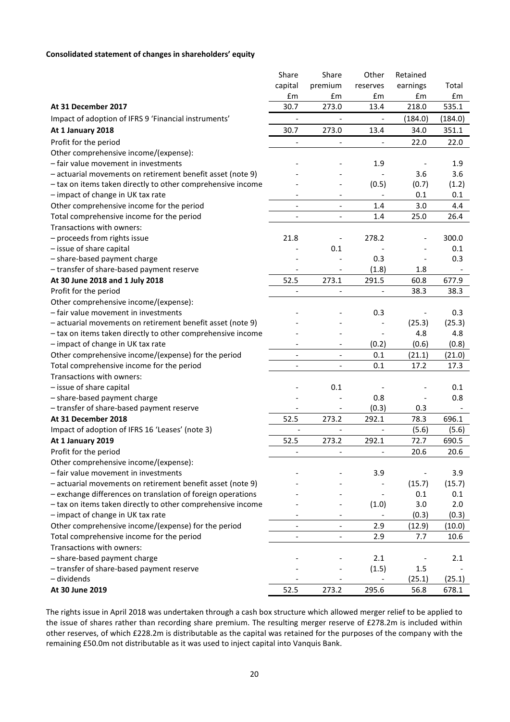# **Consolidated statement of changes in shareholders' equity**

|                                                             | Share                    | Share                        | Other                    | Retained |         |
|-------------------------------------------------------------|--------------------------|------------------------------|--------------------------|----------|---------|
|                                                             | capital                  | premium                      | reserves                 | earnings | Total   |
|                                                             | £m                       | £m                           | £m                       | £m       | £m      |
| At 31 December 2017                                         | 30.7                     | 273.0                        | 13.4                     | 218.0    | 535.1   |
| Impact of adoption of IFRS 9 'Financial instruments'        | $\frac{1}{2}$            |                              | $\overline{\phantom{0}}$ | (184.0)  | (184.0) |
| At 1 January 2018                                           | 30.7                     | 273.0                        | 13.4                     | 34.0     | 351.1   |
| Profit for the period                                       |                          |                              | $\frac{1}{2}$            | 22.0     | 22.0    |
| Other comprehensive income/(expense):                       |                          |                              |                          |          |         |
| - fair value movement in investments                        |                          |                              | 1.9                      |          | 1.9     |
| - actuarial movements on retirement benefit asset (note 9)  |                          |                              |                          | 3.6      | 3.6     |
| - tax on items taken directly to other comprehensive income |                          |                              | (0.5)                    | (0.7)    | (1.2)   |
| - impact of change in UK tax rate                           |                          |                              | $\overline{\phantom{a}}$ | 0.1      | 0.1     |
| Other comprehensive income for the period                   | $\overline{\phantom{a}}$ | $\overline{\phantom{a}}$     | 1.4                      | 3.0      | 4.4     |
| Total comprehensive income for the period                   | $\overline{\phantom{a}}$ | $\overline{a}$               | 1.4                      | 25.0     | 26.4    |
| Transactions with owners:                                   |                          |                              |                          |          |         |
| - proceeds from rights issue                                | 21.8                     |                              | 278.2                    |          | 300.0   |
| - issue of share capital                                    |                          | 0.1                          |                          |          | 0.1     |
| - share-based payment charge                                |                          |                              | 0.3                      |          | 0.3     |
| - transfer of share-based payment reserve                   | $\overline{\phantom{a}}$ |                              | (1.8)                    | 1.8      |         |
| At 30 June 2018 and 1 July 2018                             | 52.5                     | 273.1                        | 291.5                    | 60.8     | 677.9   |
| Profit for the period                                       |                          |                              |                          | 38.3     | 38.3    |
| Other comprehensive income/(expense):                       |                          |                              |                          |          |         |
| - fair value movement in investments                        |                          |                              | 0.3                      |          | 0.3     |
| - actuarial movements on retirement benefit asset (note 9)  |                          |                              |                          | (25.3)   | (25.3)  |
| - tax on items taken directly to other comprehensive income |                          |                              |                          | 4.8      | 4.8     |
| - impact of change in UK tax rate                           |                          |                              | (0.2)                    | (0.6)    | (0.8)   |
| Other comprehensive income/(expense) for the period         | $\overline{\phantom{a}}$ | $\overline{\phantom{a}}$     | 0.1                      | (21.1)   | (21.0)  |
| Total comprehensive income for the period                   | $\overline{\phantom{a}}$ | $\overline{\phantom{a}}$     | 0.1                      | 17.2     | 17.3    |
| Transactions with owners:                                   |                          |                              |                          |          |         |
| - issue of share capital                                    |                          | 0.1                          |                          |          | 0.1     |
| - share-based payment charge                                |                          |                              | 0.8                      |          | 0.8     |
| - transfer of share-based payment reserve                   |                          |                              | (0.3)                    | 0.3      |         |
| At 31 December 2018                                         | 52.5                     | 273.2                        | 292.1                    | 78.3     | 696.1   |
| Impact of adoption of IFRS 16 'Leases' (note 3)             | $\overline{a}$           | $\overline{\phantom{a}}$     | $\overline{\phantom{a}}$ | (5.6)    | (5.6)   |
| At 1 January 2019                                           | 52.5                     | 273.2                        | 292.1                    | 72.7     | 690.5   |
| Profit for the period                                       | $\overline{\phantom{a}}$ | $\overline{\phantom{a}}$     | $\overline{\phantom{a}}$ | 20.6     | 20.6    |
| Other comprehensive income/(expense):                       |                          |                              |                          |          |         |
| - fair value movement in investments                        |                          |                              | 3.9                      |          | 3.9     |
| - actuarial movements on retirement benefit asset (note 9)  |                          |                              |                          | (15.7)   | (15.7)  |
| - exchange differences on translation of foreign operations |                          |                              | $\qquad \qquad -$        | 0.1      | 0.1     |
| - tax on items taken directly to other comprehensive income |                          |                              | (1.0)                    | 3.0      | 2.0     |
| - impact of change in UK tax rate                           |                          |                              |                          | (0.3)    | (0.3)   |
| Other comprehensive income/(expense) for the period         |                          | $\qquad \qquad \blacksquare$ | 2.9                      | (12.9)   | (10.0)  |
| Total comprehensive income for the period                   | $\overline{\phantom{a}}$ | $\overline{\phantom{a}}$     | 2.9                      | 7.7      | 10.6    |
| Transactions with owners:                                   |                          |                              |                          |          |         |
| - share-based payment charge                                |                          |                              | 2.1                      |          | 2.1     |
| - transfer of share-based payment reserve                   |                          |                              | (1.5)                    | 1.5      |         |
| - dividends                                                 |                          |                              |                          | (25.1)   | (25.1)  |
| At 30 June 2019                                             | 52.5                     | 273.2                        | 295.6                    | 56.8     | 678.1   |

The rights issue in April 2018 was undertaken through a cash box structure which allowed merger relief to be applied to the issue of shares rather than recording share premium. The resulting merger reserve of £278.2m is included within other reserves, of which £228.2m is distributable as the capital was retained for the purposes of the company with the remaining £50.0m not distributable as it was used to inject capital into Vanquis Bank.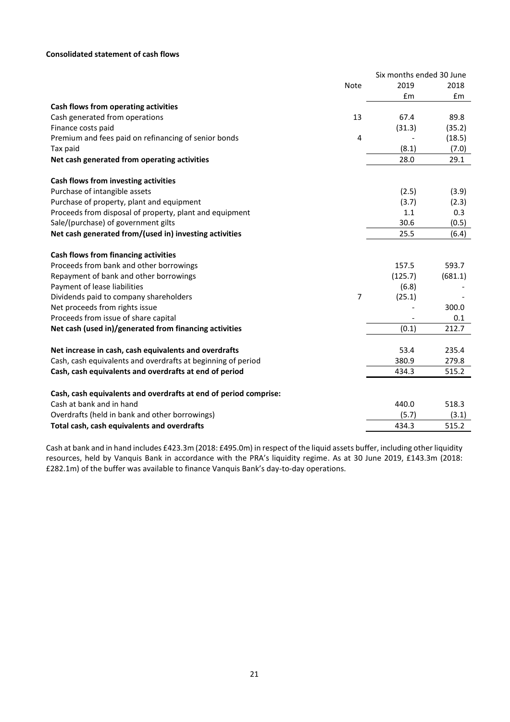# **Consolidated statement of cash flows**

|                                                                                              |                | Six months ended 30 June |         |
|----------------------------------------------------------------------------------------------|----------------|--------------------------|---------|
|                                                                                              | Note           | 2019                     | 2018    |
|                                                                                              |                | £m                       | Em      |
| Cash flows from operating activities                                                         |                |                          |         |
| Cash generated from operations                                                               | 13             | 67.4                     | 89.8    |
| Finance costs paid                                                                           |                | (31.3)                   | (35.2)  |
| Premium and fees paid on refinancing of senior bonds                                         | 4              |                          | (18.5)  |
| Tax paid                                                                                     |                | (8.1)                    | (7.0)   |
| Net cash generated from operating activities                                                 |                | 28.0                     | 29.1    |
| Cash flows from investing activities                                                         |                |                          |         |
| Purchase of intangible assets                                                                |                | (2.5)                    | (3.9)   |
| Purchase of property, plant and equipment                                                    |                | (3.7)                    | (2.3)   |
| Proceeds from disposal of property, plant and equipment                                      |                | 1.1                      | 0.3     |
| Sale/(purchase) of government gilts                                                          |                | 30.6                     | (0.5)   |
| Net cash generated from/(used in) investing activities                                       |                | 25.5                     | (6.4)   |
| Cash flows from financing activities                                                         |                |                          |         |
| Proceeds from bank and other borrowings                                                      |                | 157.5                    | 593.7   |
| Repayment of bank and other borrowings                                                       |                | (125.7)                  | (681.1) |
| Payment of lease liabilities                                                                 |                | (6.8)                    |         |
| Dividends paid to company shareholders                                                       | $\overline{7}$ | (25.1)                   |         |
| Net proceeds from rights issue                                                               |                |                          | 300.0   |
| Proceeds from issue of share capital                                                         |                |                          | 0.1     |
| Net cash (used in)/generated from financing activities                                       |                | (0.1)                    | 212.7   |
| Net increase in cash, cash equivalents and overdrafts                                        |                | 53.4                     | 235.4   |
| Cash, cash equivalents and overdrafts at beginning of period                                 |                | 380.9                    | 279.8   |
| Cash, cash equivalents and overdrafts at end of period                                       |                | 434.3                    | 515.2   |
|                                                                                              |                |                          |         |
| Cash, cash equivalents and overdrafts at end of period comprise:<br>Cash at bank and in hand |                | 440.0                    | 518.3   |
| Overdrafts (held in bank and other borrowings)                                               |                | (5.7)                    | (3.1)   |
| Total cash, cash equivalents and overdrafts                                                  |                | 434.3                    | 515.2   |
|                                                                                              |                |                          |         |

Cash at bank and in hand includes £423.3m (2018: £495.0m) in respect of the liquid assets buffer, including other liquidity resources, held by Vanquis Bank in accordance with the PRA's liquidity regime. As at 30 June 2019, £143.3m (2018: £282.1m) of the buffer was available to finance Vanquis Bank's day-to-day operations.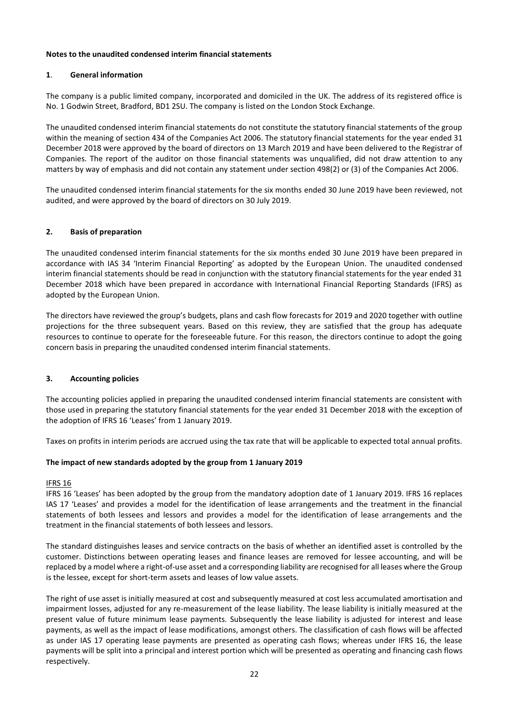# **Notes to the unaudited condensed interim financial statements**

# **1**. **General information**

The company is a public limited company, incorporated and domiciled in the UK. The address of its registered office is No. 1 Godwin Street, Bradford, BD1 2SU. The company is listed on the London Stock Exchange.

The unaudited condensed interim financial statements do not constitute the statutory financial statements of the group within the meaning of section 434 of the Companies Act 2006. The statutory financial statements for the year ended 31 December 2018 were approved by the board of directors on 13 March 2019 and have been delivered to the Registrar of Companies. The report of the auditor on those financial statements was unqualified, did not draw attention to any matters by way of emphasis and did not contain any statement under section 498(2) or (3) of the Companies Act 2006.

The unaudited condensed interim financial statements for the six months ended 30 June 2019 have been reviewed, not audited, and were approved by the board of directors on 30 July 2019.

# **2. Basis of preparation**

The unaudited condensed interim financial statements for the six months ended 30 June 2019 have been prepared in accordance with IAS 34 'Interim Financial Reporting' as adopted by the European Union. The unaudited condensed interim financial statements should be read in conjunction with the statutory financial statements for the year ended 31 December 2018 which have been prepared in accordance with International Financial Reporting Standards (IFRS) as adopted by the European Union.

The directors have reviewed the group's budgets, plans and cash flow forecasts for 2019 and 2020 together with outline projections for the three subsequent years. Based on this review, they are satisfied that the group has adequate resources to continue to operate for the foreseeable future. For this reason, the directors continue to adopt the going concern basis in preparing the unaudited condensed interim financial statements.

# **3. Accounting policies**

The accounting policies applied in preparing the unaudited condensed interim financial statements are consistent with those used in preparing the statutory financial statements for the year ended 31 December 2018 with the exception of the adoption of IFRS 16 'Leases' from 1 January 2019.

Taxes on profits in interim periods are accrued using the tax rate that will be applicable to expected total annual profits.

# **The impact of new standards adopted by the group from 1 January 2019**

# IFRS 16

IFRS 16 'Leases' has been adopted by the group from the mandatory adoption date of 1 January 2019. IFRS 16 replaces IAS 17 'Leases' and provides a model for the identification of lease arrangements and the treatment in the financial statements of both lessees and lessors and provides a model for the identification of lease arrangements and the treatment in the financial statements of both lessees and lessors.

The standard distinguishes leases and service contracts on the basis of whether an identified asset is controlled by the customer. Distinctions between operating leases and finance leases are removed for lessee accounting, and will be replaced by a model where a right-of-use asset and a corresponding liability are recognised for all leases where the Group is the lessee, except for short-term assets and leases of low value assets.

The right of use asset is initially measured at cost and subsequently measured at cost less accumulated amortisation and impairment losses, adjusted for any re-measurement of the lease liability. The lease liability is initially measured at the present value of future minimum lease payments. Subsequently the lease liability is adjusted for interest and lease payments, as well as the impact of lease modifications, amongst others. The classification of cash flows will be affected as under IAS 17 operating lease payments are presented as operating cash flows; whereas under IFRS 16, the lease payments will be split into a principal and interest portion which will be presented as operating and financing cash flows respectively.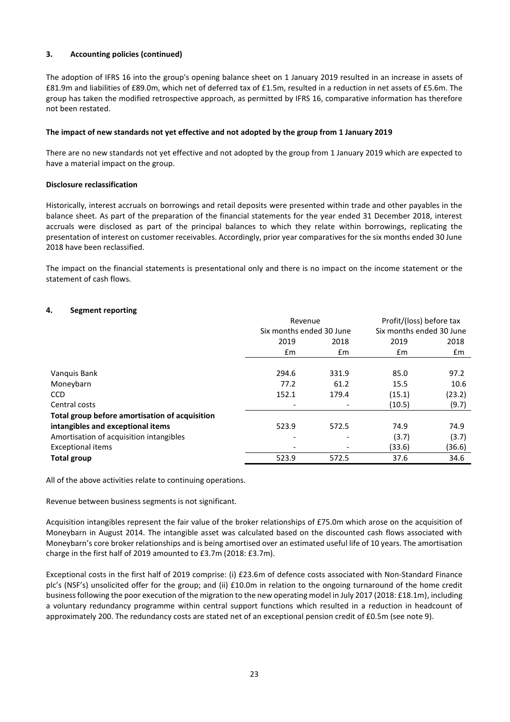# **3. Accounting policies (continued)**

The adoption of IFRS 16 into the group's opening balance sheet on 1 January 2019 resulted in an increase in assets of £81.9m and liabilities of £89.0m, which net of deferred tax of £1.5m, resulted in a reduction in net assets of £5.6m. The group has taken the modified retrospective approach, as permitted by IFRS 16, comparative information has therefore not been restated.

# **The impact of new standards not yet effective and not adopted by the group from 1 January 2019**

There are no new standards not yet effective and not adopted by the group from 1 January 2019 which are expected to have a material impact on the group.

# **Disclosure reclassification**

Historically, interest accruals on borrowings and retail deposits were presented within trade and other payables in the balance sheet. As part of the preparation of the financial statements for the year ended 31 December 2018, interest accruals were disclosed as part of the principal balances to which they relate within borrowings, replicating the presentation of interest on customer receivables. Accordingly, prior year comparatives for the six months ended 30 June 2018 have been reclassified.

The impact on the financial statements is presentational only and there is no impact on the income statement or the statement of cash flows.

# **4. Segment reporting**

|                                                | Revenue<br>Six months ended 30 June |       | Profit/(loss) before tax<br>Six months ended 30 June |        |
|------------------------------------------------|-------------------------------------|-------|------------------------------------------------------|--------|
|                                                |                                     |       |                                                      |        |
|                                                | 2019                                | 2018  | 2019                                                 | 2018   |
|                                                | £m                                  | £m    | £m                                                   | £m     |
|                                                |                                     |       |                                                      |        |
| Vanguis Bank                                   | 294.6                               | 331.9 | 85.0                                                 | 97.2   |
| Moneybarn                                      | 77.2                                | 61.2  | 15.5                                                 | 10.6   |
| <b>CCD</b>                                     | 152.1                               | 179.4 | (15.1)                                               | (23.2) |
| Central costs                                  |                                     |       | (10.5)                                               | (9.7)  |
| Total group before amortisation of acquisition |                                     |       |                                                      |        |
| intangibles and exceptional items              | 523.9                               | 572.5 | 74.9                                                 | 74.9   |
| Amortisation of acquisition intangibles        |                                     |       | (3.7)                                                | (3.7)  |
| <b>Exceptional items</b>                       |                                     |       | (33.6)                                               | (36.6) |
| <b>Total group</b>                             | 523.9                               | 572.5 | 37.6                                                 | 34.6   |

All of the above activities relate to continuing operations.

Revenue between business segments is not significant.

Acquisition intangibles represent the fair value of the broker relationships of £75.0m which arose on the acquisition of Moneybarn in August 2014. The intangible asset was calculated based on the discounted cash flows associated with Moneybarn's core broker relationships and is being amortised over an estimated useful life of 10 years. The amortisation charge in the first half of 2019 amounted to £3.7m (2018: £3.7m).

Exceptional costs in the first half of 2019 comprise: (i) £23.6m of defence costs associated with Non-Standard Finance plc's (NSF's) unsolicited offer for the group; and (ii) £10.0m in relation to the ongoing turnaround of the home credit business following the poor execution of the migration to the new operating model in July 2017 (2018: £18.1m), including a voluntary redundancy programme within central support functions which resulted in a reduction in headcount of approximately 200. The redundancy costs are stated net of an exceptional pension credit of £0.5m (see note 9).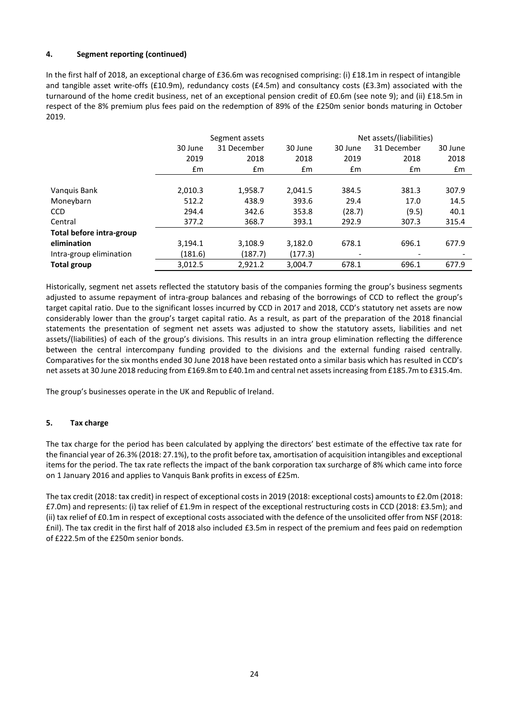# **4. Segment reporting (continued)**

In the first half of 2018, an exceptional charge of £36.6m was recognised comprising: (i) £18.1m in respect of intangible and tangible asset write-offs (£10.9m), redundancy costs (£4.5m) and consultancy costs (£3.3m) associated with the turnaround of the home credit business, net of an exceptional pension credit of £0.6m (see note 9); and (ii) £18.5m in respect of the 8% premium plus fees paid on the redemption of 89% of the £250m senior bonds maturing in October 2019.

|                          |         | Segment assets |               |                          | Net assets/(liabilities)     |         |
|--------------------------|---------|----------------|---------------|--------------------------|------------------------------|---------|
|                          | 30 June | 31 December    | 30 June       | 30 June                  | 31 December                  | 30 June |
|                          | 2019    | 2018           | 2018          | 2019                     | 2018                         | 2018    |
|                          | £m      | £m             | $\mathsf{fm}$ | $\mathsf{fm}$            | $\mathbf{f}$ m               | £m      |
|                          |         |                |               |                          |                              |         |
| Vanquis Bank             | 2,010.3 | 1,958.7        | 2,041.5       | 384.5                    | 381.3                        | 307.9   |
| Moneybarn                | 512.2   | 438.9          | 393.6         | 29.4                     | 17.0                         | 14.5    |
| <b>CCD</b>               | 294.4   | 342.6          | 353.8         | (28.7)                   | (9.5)                        | 40.1    |
| Central                  | 377.2   | 368.7          | 393.1         | 292.9                    | 307.3                        | 315.4   |
| Total before intra-group |         |                |               |                          |                              |         |
| elimination              | 3,194.1 | 3,108.9        | 3,182.0       | 678.1                    | 696.1                        | 677.9   |
| Intra-group elimination  | (181.6) | (187.7)        | (177.3)       | $\overline{\phantom{a}}$ | $\qquad \qquad \blacksquare$ |         |
| <b>Total group</b>       | 3.012.5 | 2.921.2        | 3.004.7       | 678.1                    | 696.1                        | 677.9   |

Historically, segment net assets reflected the statutory basis of the companies forming the group's business segments adjusted to assume repayment of intra-group balances and rebasing of the borrowings of CCD to reflect the group's target capital ratio. Due to the significant losses incurred by CCD in 2017 and 2018, CCD's statutory net assets are now considerably lower than the group's target capital ratio. As a result, as part of the preparation of the 2018 financial statements the presentation of segment net assets was adjusted to show the statutory assets, liabilities and net assets/(liabilities) of each of the group's divisions. This results in an intra group elimination reflecting the difference between the central intercompany funding provided to the divisions and the external funding raised centrally. Comparatives for the six months ended 30 June 2018 have been restated onto a similar basis which has resulted in CCD's net assets at 30 June 2018 reducing from £169.8m to £40.1m and central net assets increasing from £185.7m to £315.4m.

The group's businesses operate in the UK and Republic of Ireland.

# **5. Tax charge**

The tax charge for the period has been calculated by applying the directors' best estimate of the effective tax rate for the financial year of 26.3% (2018: 27.1%), to the profit before tax, amortisation of acquisition intangibles and exceptional items for the period. The tax rate reflects the impact of the bank corporation tax surcharge of 8% which came into force on 1 January 2016 and applies to Vanquis Bank profits in excess of £25m.

The tax credit (2018: tax credit) in respect of exceptional costs in 2019 (2018: exceptional costs) amounts to £2.0m (2018: £7.0m) and represents: (i) tax relief of £1.9m in respect of the exceptional restructuring costs in CCD (2018: £3.5m); and (ii) tax relief of £0.1m in respect of exceptional costs associated with the defence of the unsolicited offer from NSF (2018: £nil). The tax credit in the first half of 2018 also included £3.5m in respect of the premium and fees paid on redemption of £222.5m of the £250m senior bonds.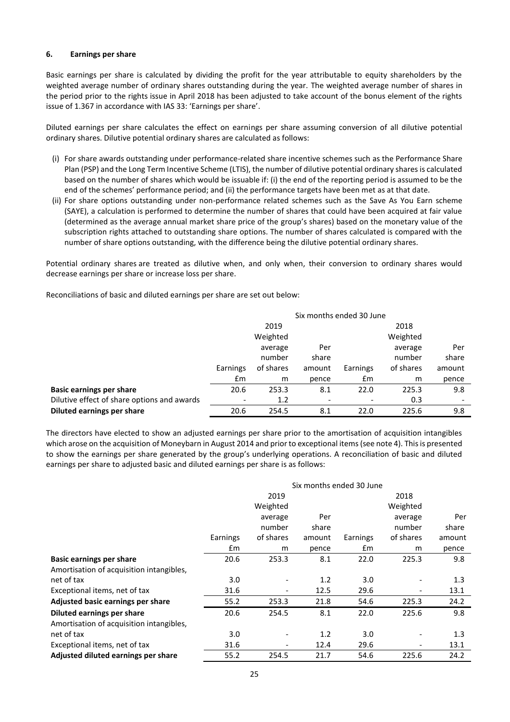#### **6. Earnings per share**

Basic earnings per share is calculated by dividing the profit for the year attributable to equity shareholders by the weighted average number of ordinary shares outstanding during the year. The weighted average number of shares in the period prior to the rights issue in April 2018 has been adjusted to take account of the bonus element of the rights issue of 1.367 in accordance with IAS 33: 'Earnings per share'.

Diluted earnings per share calculates the effect on earnings per share assuming conversion of all dilutive potential ordinary shares. Dilutive potential ordinary shares are calculated as follows:

- (i) For share awards outstanding under performance-related share incentive schemes such as the Performance Share Plan (PSP) and the Long Term Incentive Scheme (LTIS), the number of dilutive potential ordinary shares is calculated based on the number of shares which would be issuable if: (i) the end of the reporting period is assumed to be the end of the schemes' performance period; and (ii) the performance targets have been met as at that date.
- (ii) For share options outstanding under non-performance related schemes such as the Save As You Earn scheme (SAYE), a calculation is performed to determine the number of shares that could have been acquired at fair value (determined as the average annual market share price of the group's shares) based on the monetary value of the subscription rights attached to outstanding share options. The number of shares calculated is compared with the number of share options outstanding, with the difference being the dilutive potential ordinary shares.

Potential ordinary shares are treated as dilutive when, and only when, their conversion to ordinary shares would decrease earnings per share or increase loss per share.

Reconciliations of basic and diluted earnings per share are set out below:

|                                             | Six months ended 30 June |           |        |          |           |        |
|---------------------------------------------|--------------------------|-----------|--------|----------|-----------|--------|
|                                             |                          | 2019      |        |          | 2018      |        |
|                                             |                          | Weighted  |        |          | Weighted  |        |
|                                             |                          | average   | Per    |          | average   | Per    |
|                                             |                          | number    | share  |          | number    | share  |
|                                             | Earnings                 | of shares | amount | Earnings | of shares | amount |
|                                             | £m                       | m         | pence  | £m       | m         | pence  |
| <b>Basic earnings per share</b>             | 20.6                     | 253.3     | 8.1    | 22.0     | 225.3     | 9.8    |
| Dilutive effect of share options and awards | $\overline{\phantom{a}}$ | 1.2       |        |          | 0.3       |        |
| Diluted earnings per share                  | 20.6                     | 254.5     | 8.1    | 22.0     | 225.6     | 9.8    |

The directors have elected to show an adjusted earnings per share prior to the amortisation of acquisition intangibles which arose on the acquisition of Moneybarn in August 2014 and prior to exceptional items (see note 4). This is presented to show the earnings per share generated by the group's underlying operations. A reconciliation of basic and diluted earnings per share to adjusted basic and diluted earnings per share is as follows:

|                                          | Six months ended 30 June |                          |        |          |                              |        |
|------------------------------------------|--------------------------|--------------------------|--------|----------|------------------------------|--------|
|                                          |                          | 2019                     |        |          | 2018                         |        |
|                                          |                          | Weighted                 |        |          | Weighted                     |        |
|                                          |                          | average                  | Per    |          | average                      | Per    |
|                                          |                          | number                   | share  |          | number                       | share  |
|                                          | Earnings                 | of shares                | amount | Earnings | of shares                    | amount |
|                                          | £m                       | m                        | pence  | £m       | m                            | pence  |
| <b>Basic earnings per share</b>          | 20.6                     | 253.3                    | 8.1    | 22.0     | 225.3                        | 9.8    |
| Amortisation of acquisition intangibles, |                          |                          |        |          |                              |        |
| net of tax                               | 3.0                      |                          | 1.2    | 3.0      |                              | 1.3    |
| Exceptional items, net of tax            | 31.6                     | $\overline{\phantom{a}}$ | 12.5   | 29.6     | $\qquad \qquad \blacksquare$ | 13.1   |
| Adjusted basic earnings per share        | 55.2                     | 253.3                    | 21.8   | 54.6     | 225.3                        | 24.2   |
| Diluted earnings per share               | 20.6                     | 254.5                    | 8.1    | 22.0     | 225.6                        | 9.8    |
| Amortisation of acquisition intangibles, |                          |                          |        |          |                              |        |
| net of tax                               | 3.0                      |                          | 1.2    | 3.0      |                              | 1.3    |
| Exceptional items, net of tax            | 31.6                     | $\overline{\phantom{a}}$ | 12.4   | 29.6     | $\qquad \qquad \blacksquare$ | 13.1   |
| Adjusted diluted earnings per share      | 55.2                     | 254.5                    | 21.7   | 54.6     | 225.6                        | 24.2   |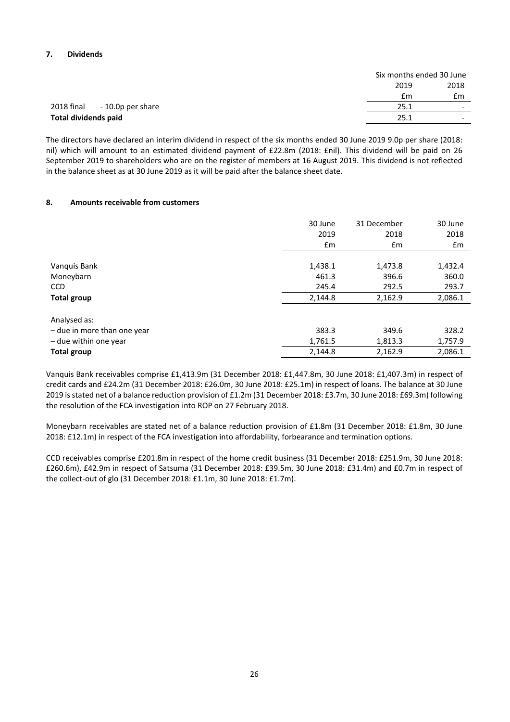# **7. Dividends**

| 2018<br>2019<br>£m<br>£m<br>2018 final<br>- 10.0p per share<br>25.1<br>$\overline{\phantom{0}}$<br><b>Total dividends paid</b><br>25.1<br>$\overline{\phantom{0}}$ |  | Six months ended 30 June |
|--------------------------------------------------------------------------------------------------------------------------------------------------------------------|--|--------------------------|
|                                                                                                                                                                    |  |                          |
|                                                                                                                                                                    |  |                          |
|                                                                                                                                                                    |  |                          |
|                                                                                                                                                                    |  |                          |

The directors have declared an interim dividend in respect of the six months ended 30 June 2019 9.0p per share (2018: nil) which will amount to an estimated dividend payment of £22.8m (2018: £nil). This dividend will be paid on 26 September 2019 to shareholders who are on the register of members at 16 August 2019. This dividend is not reflected in the balance sheet as at 30 June 2019 as it will be paid after the balance sheet date.

#### **8. Amounts receivable from customers**

|                             | 30 June       | 31 December   | 30 June |
|-----------------------------|---------------|---------------|---------|
|                             | 2019          | 2018          | 2018    |
|                             | $\mathsf{fm}$ | $\mathsf{fm}$ | £m      |
|                             |               |               |         |
| Vanquis Bank                | 1,438.1       | 1,473.8       | 1,432.4 |
| Moneybarn                   | 461.3         | 396.6         | 360.0   |
| <b>CCD</b>                  | 245.4         | 292.5         | 293.7   |
| <b>Total group</b>          | 2,144.8       | 2,162.9       | 2,086.1 |
|                             |               |               |         |
| Analysed as:                |               |               |         |
| - due in more than one year | 383.3         | 349.6         | 328.2   |
| - due within one year       | 1,761.5       | 1,813.3       | 1,757.9 |
| <b>Total group</b>          | 2,144.8       | 2,162.9       | 2,086.1 |

Vanquis Bank receivables comprise £1,413.9m (31 December 2018: £1,447.8m, 30 June 2018: £1,407.3m) in respect of credit cards and £24.2m (31 December 2018: £26.0m, 30 June 2018: £25.1m) in respect of loans. The balance at 30 June 2019 is stated net of a balance reduction provision of £1.2m (31 December 2018: £3.7m, 30 June 2018: £69.3m) following the resolution of the FCA investigation into ROP on 27 February 2018.

Moneybarn receivables are stated net of a balance reduction provision of £1.8m (31 December 2018: £1.8m, 30 June 2018: £12.1m) in respect of the FCA investigation into affordability, forbearance and termination options.

CCD receivables comprise £201.8m in respect of the home credit business (31 December 2018: £251.9m, 30 June 2018: £260.6m), £42.9m in respect of Satsuma (31 December 2018: £39.5m, 30 June 2018: £31.4m) and £0.7m in respect of the collect-out of glo (31 December 2018: £1.1m, 30 June 2018: £1.7m).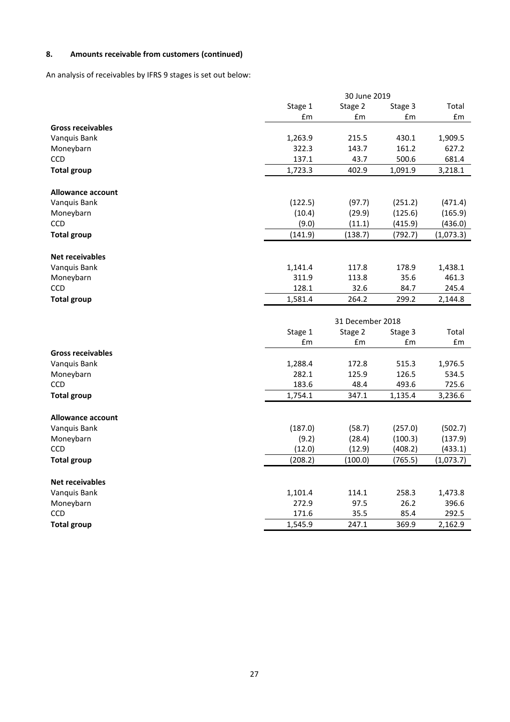# **8. Amounts receivable from customers (continued)**

An analysis of receivables by IFRS 9 stages is set out below:

|                           |                  | 30 June 2019     |                |                  |
|---------------------------|------------------|------------------|----------------|------------------|
|                           | Stage 1          | Stage 2          | Stage 3        | Total            |
|                           | £m               | £m               | £m             | £m               |
| <b>Gross receivables</b>  |                  |                  |                |                  |
| Vanquis Bank              | 1,263.9          | 215.5            | 430.1          | 1,909.5          |
| Moneybarn                 | 322.3            | 143.7            | 161.2          | 627.2            |
| <b>CCD</b>                | 137.1            | 43.7             | 500.6          | 681.4            |
| <b>Total group</b>        | 1,723.3          | 402.9            | 1,091.9        | 3,218.1          |
| <b>Allowance account</b>  |                  |                  |                |                  |
| Vanquis Bank              | (122.5)          | (97.7)           | (251.2)        | (471.4)          |
| Moneybarn                 | (10.4)           | (29.9)           | (125.6)        | (165.9)          |
| <b>CCD</b>                | (9.0)            | (11.1)           | (415.9)        | (436.0)          |
| <b>Total group</b>        | (141.9)          | (138.7)          | (792.7)        | (1,073.3)        |
|                           |                  |                  |                |                  |
| <b>Net receivables</b>    |                  |                  |                |                  |
| Vanquis Bank              | 1,141.4          | 117.8            | 178.9          | 1,438.1          |
| Moneybarn                 | 311.9            | 113.8            | 35.6           | 461.3            |
| <b>CCD</b>                | 128.1            | 32.6             | 84.7           | 245.4            |
| <b>Total group</b>        | 1,581.4          | 264.2            | 299.2          | 2,144.8          |
|                           |                  | 31 December 2018 |                |                  |
|                           |                  |                  |                |                  |
|                           |                  |                  |                |                  |
|                           | Stage 1          | Stage 2          | Stage 3        | Total            |
|                           | £m               | £m               | £m             | £m               |
| <b>Gross receivables</b>  |                  |                  |                |                  |
| Vanquis Bank              | 1,288.4<br>282.1 | 172.8            | 515.3          | 1,976.5          |
| Moneybarn<br><b>CCD</b>   | 183.6            | 125.9<br>48.4    | 126.5<br>493.6 | 534.5            |
| <b>Total group</b>        | 1,754.1          | 347.1            | 1,135.4        | 725.6<br>3,236.6 |
|                           |                  |                  |                |                  |
| <b>Allowance account</b>  |                  |                  |                |                  |
| Vanquis Bank              | (187.0)          | (58.7)           | (257.0)        | (502.7)          |
| Moneybarn                 | (9.2)            | (28.4)           | (100.3)        | (137.9)          |
| <b>CCD</b>                | (12.0)           | (12.9)           | (408.2)        | (433.1)          |
| <b>Total group</b>        | (208.2)          | (100.0)          | (765.5)        | (1,073.7)        |
| <b>Net receivables</b>    |                  |                  |                |                  |
|                           | 1,101.4          | 114.1            | 258.3          | 1,473.8          |
| Vanquis Bank<br>Moneybarn | 272.9            | 97.5             | 26.2           | 396.6            |
| CCD                       | 171.6            | 35.5             | 85.4           | 292.5            |
| <b>Total group</b>        | 1,545.9          | 247.1            | 369.9          | 2,162.9          |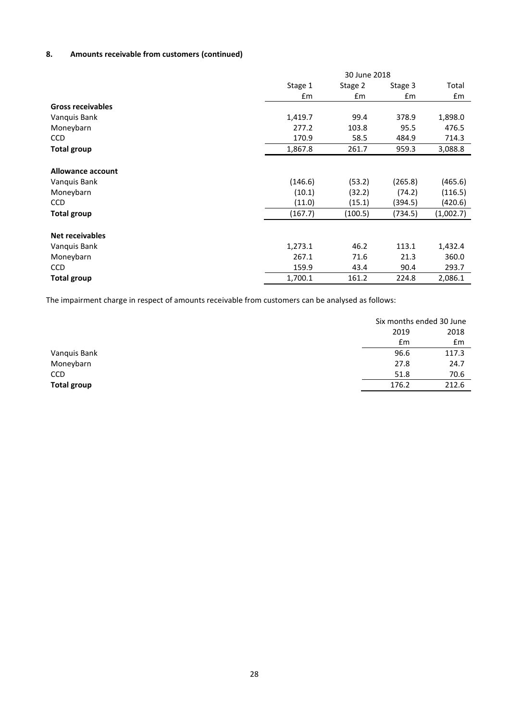# **8. Amounts receivable from customers (continued)**

|                          |               | 30 June 2018  |         |           |  |
|--------------------------|---------------|---------------|---------|-----------|--|
|                          | Stage 1       | Stage 2       | Stage 3 | Total     |  |
|                          | $\mathsf{fm}$ | $\mathsf{fm}$ | £m      | £m        |  |
| <b>Gross receivables</b> |               |               |         |           |  |
| Vanquis Bank             | 1,419.7       | 99.4          | 378.9   | 1,898.0   |  |
| Moneybarn                | 277.2         | 103.8         | 95.5    | 476.5     |  |
| <b>CCD</b>               | 170.9         | 58.5          | 484.9   | 714.3     |  |
| <b>Total group</b>       | 1,867.8       | 261.7         | 959.3   | 3,088.8   |  |
|                          |               |               |         |           |  |
| Allowance account        |               |               |         |           |  |
| Vanquis Bank             | (146.6)       | (53.2)        | (265.8) | (465.6)   |  |
| Moneybarn                | (10.1)        | (32.2)        | (74.2)  | (116.5)   |  |
| <b>CCD</b>               | (11.0)        | (15.1)        | (394.5) | (420.6)   |  |
| <b>Total group</b>       | (167.7)       | (100.5)       | (734.5) | (1,002.7) |  |
|                          |               |               |         |           |  |
| <b>Net receivables</b>   |               |               |         |           |  |
| Vanquis Bank             | 1,273.1       | 46.2          | 113.1   | 1,432.4   |  |
| Moneybarn                | 267.1         | 71.6          | 21.3    | 360.0     |  |
| <b>CCD</b>               | 159.9         | 43.4          | 90.4    | 293.7     |  |
| <b>Total group</b>       | 1,700.1       | 161.2         | 224.8   | 2,086.1   |  |

The impairment charge in respect of amounts receivable from customers can be analysed as follows:

|                    |       | Six months ended 30 June |
|--------------------|-------|--------------------------|
|                    | 2019  | 2018                     |
|                    | £m    | £m                       |
| Vanquis Bank       | 96.6  | 117.3                    |
| Moneybarn          | 27.8  | 24.7                     |
| <b>CCD</b>         | 51.8  | 70.6                     |
| <b>Total group</b> | 176.2 | 212.6                    |
|                    |       |                          |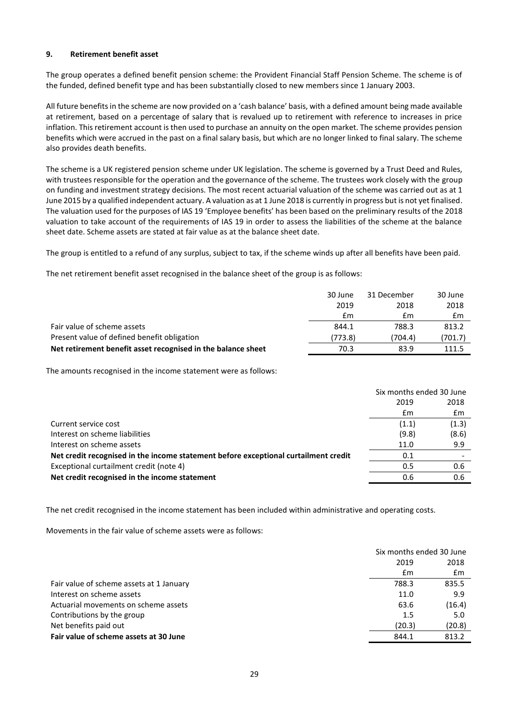#### **9. Retirement benefit asset**

The group operates a defined benefit pension scheme: the Provident Financial Staff Pension Scheme. The scheme is of the funded, defined benefit type and has been substantially closed to new members since 1 January 2003.

All future benefits in the scheme are now provided on a 'cash balance' basis, with a defined amount being made available at retirement, based on a percentage of salary that is revalued up to retirement with reference to increases in price inflation. This retirement account is then used to purchase an annuity on the open market. The scheme provides pension benefits which were accrued in the past on a final salary basis, but which are no longer linked to final salary. The scheme also provides death benefits.

The scheme is a UK registered pension scheme under UK legislation. The scheme is governed by a Trust Deed and Rules, with trustees responsible for the operation and the governance of the scheme. The trustees work closely with the group on funding and investment strategy decisions. The most recent actuarial valuation of the scheme was carried out as at 1 June 2015 by a qualified independent actuary. A valuation as at 1 June 2018 is currently in progress but is not yet finalised. The valuation used for the purposes of IAS 19 'Employee benefits' has been based on the preliminary results of the 2018 valuation to take account of the requirements of IAS 19 in order to assess the liabilities of the scheme at the balance sheet date. Scheme assets are stated at fair value as at the balance sheet date.

The group is entitled to a refund of any surplus, subject to tax, if the scheme winds up after all benefits have been paid.

The net retirement benefit asset recognised in the balance sheet of the group is as follows:

|                                                              | 30 June | 31 December | 30 June |
|--------------------------------------------------------------|---------|-------------|---------|
|                                                              | 2019    | 2018        | 2018    |
|                                                              | £m      | £m          | £m      |
| Fair value of scheme assets                                  | 844.1   | 788.3       | 813.2   |
| Present value of defined benefit obligation                  | (773.8) | (704.4)     | (701.7) |
| Net retirement benefit asset recognised in the balance sheet | 70.3    | 83.9        | 111.5   |

The amounts recognised in the income statement were as follows:

|                                                                                     | Six months ended 30 June |       |
|-------------------------------------------------------------------------------------|--------------------------|-------|
|                                                                                     | 2019                     | 2018  |
|                                                                                     | £m                       | Em    |
| Current service cost                                                                | (1.1)                    | (1.3) |
| Interest on scheme liabilities                                                      | (9.8)                    | (8.6) |
| Interest on scheme assets                                                           | 11.0                     | 9.9   |
| Net credit recognised in the income statement before exceptional curtailment credit | 0.1                      |       |
| Exceptional curtailment credit (note 4)                                             | 0.5                      | 0.6   |
| Net credit recognised in the income statement                                       | 0.6                      | 0.6   |

The net credit recognised in the income statement has been included within administrative and operating costs.

Movements in the fair value of scheme assets were as follows:

|                                          | Six months ended 30 June |        |
|------------------------------------------|--------------------------|--------|
|                                          | 2019                     | 2018   |
|                                          | £m                       | Em     |
| Fair value of scheme assets at 1 January | 788.3                    | 835.5  |
| Interest on scheme assets                | 11.0                     | 9.9    |
| Actuarial movements on scheme assets     | 63.6                     | (16.4) |
| Contributions by the group               | 1.5                      | 5.0    |
| Net benefits paid out                    | (20.3)                   | (20.8) |
| Fair value of scheme assets at 30 June   | 844.1                    | 813.2  |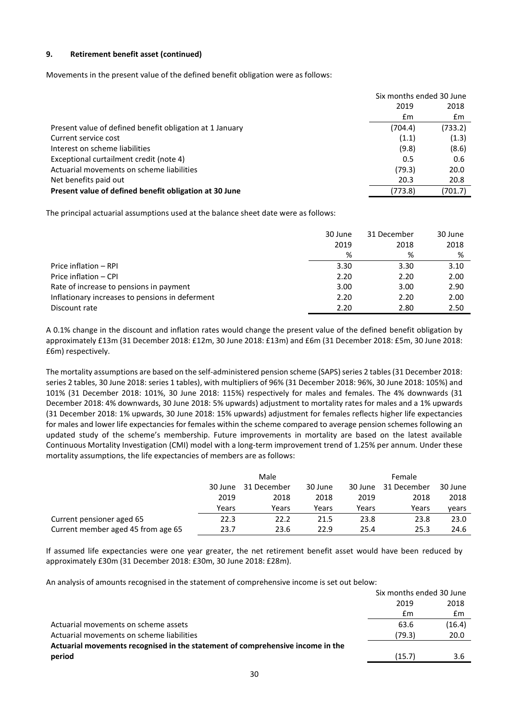## **9. Retirement benefit asset (continued)**

Movements in the present value of the defined benefit obligation were as follows:

|                                                          | Six months ended 30 June |         |
|----------------------------------------------------------|--------------------------|---------|
|                                                          | 2019                     | 2018    |
|                                                          | £m                       | £m      |
| Present value of defined benefit obligation at 1 January | (704.4)                  | (733.2) |
| Current service cost                                     | (1.1)                    | (1.3)   |
| Interest on scheme liabilities                           | (9.8)                    | (8.6)   |
| Exceptional curtailment credit (note 4)                  | 0.5                      | 0.6     |
| Actuarial movements on scheme liabilities                | (79.3)                   | 20.0    |
| Net benefits paid out                                    | 20.3                     | 20.8    |
| Present value of defined benefit obligation at 30 June   | (773.8)                  | (701.7) |

The principal actuarial assumptions used at the balance sheet date were as follows:

|                                                 | 30 June | 31 December | 30 June |
|-------------------------------------------------|---------|-------------|---------|
|                                                 | 2019    | 2018        | 2018    |
|                                                 | %       | %           | %       |
| Price inflation - RPI                           | 3.30    | 3.30        | 3.10    |
| Price inflation - CPI                           | 2.20    | 2.20        | 2.00    |
| Rate of increase to pensions in payment         | 3.00    | 3.00        | 2.90    |
| Inflationary increases to pensions in deferment | 2.20    | 2.20        | 2.00    |
| Discount rate                                   | 2.20    | 2.80        | 2.50    |

A 0.1% change in the discount and inflation rates would change the present value of the defined benefit obligation by approximately £13m (31 December 2018: £12m, 30 June 2018: £13m) and £6m (31 December 2018: £5m, 30 June 2018: £6m) respectively.

The mortality assumptions are based on the self-administered pension scheme (SAPS) series 2 tables(31 December 2018: series 2 tables, 30 June 2018: series 1 tables), with multipliers of 96% (31 December 2018: 96%, 30 June 2018: 105%) and 101% (31 December 2018: 101%, 30 June 2018: 115%) respectively for males and females. The 4% downwards (31 December 2018: 4% downwards, 30 June 2018: 5% upwards) adjustment to mortality rates for males and a 1% upwards (31 December 2018: 1% upwards, 30 June 2018: 15% upwards) adjustment for females reflects higher life expectancies for males and lower life expectancies for females within the scheme compared to average pension schemes following an updated study of the scheme's membership. Future improvements in mortality are based on the latest available Continuous Mortality Investigation (CMI) model with a long-term improvement trend of 1.25% per annum. Under these mortality assumptions, the life expectancies of members are as follows:

|                                    | Male                              |       |       | <b>Female</b> |                        |       |
|------------------------------------|-----------------------------------|-------|-------|---------------|------------------------|-------|
|                                    | 30 June<br>31 December<br>30 June |       |       | 30 June       | 31 December<br>30 June |       |
|                                    | 2019                              | 2018  | 2018  | 2019          | 2018                   | 2018  |
|                                    | Years                             | Years | Years | Years         | Years                  | years |
| Current pensioner aged 65          | 22.3                              | 22.2  | 21.5  | 23.8          | 23.8                   | 23.0  |
| Current member aged 45 from age 65 | 23.7                              | 23.6  | 22.9  | 25.4          | 25.3                   | 24.6  |

If assumed life expectancies were one year greater, the net retirement benefit asset would have been reduced by approximately £30m (31 December 2018: £30m, 30 June 2018: £28m).

An analysis of amounts recognised in the statement of comprehensive income is set out below:

|                                                                                | Six months ended 30 June |        |
|--------------------------------------------------------------------------------|--------------------------|--------|
|                                                                                | 2019                     | 2018   |
|                                                                                | £m                       | £m     |
| Actuarial movements on scheme assets                                           | 63.6                     | (16.4) |
| Actuarial movements on scheme liabilities                                      | (79.3)                   | 20.0   |
| Actuarial movements recognised in the statement of comprehensive income in the |                          |        |
| period                                                                         | (15.7)                   | 3.6    |
|                                                                                |                          |        |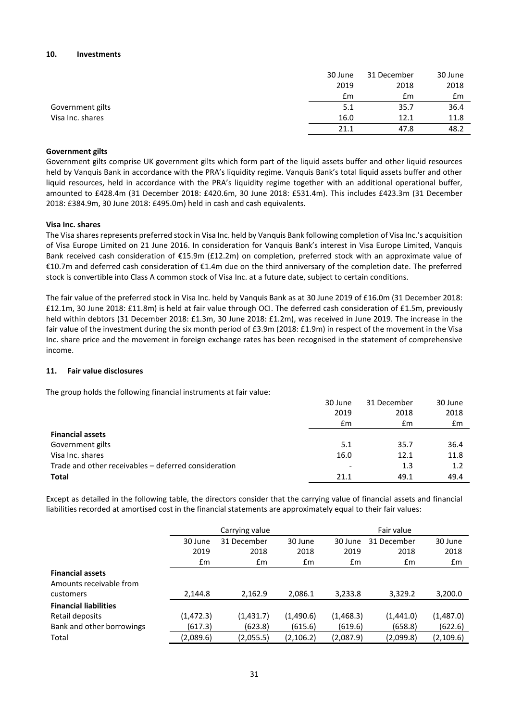#### **10. Investments**

|                  | 30 June | 31 December | 30 June |
|------------------|---------|-------------|---------|
|                  | 2019    | 2018        | 2018    |
|                  | £m      | £m          | £m      |
| Government gilts | 5.1     | 35.7        | 36.4    |
| Visa Inc. shares | 16.0    | 12.1        | 11.8    |
|                  | 21.1    | 47.8        | 48.2    |

#### **Government gilts**

Government gilts comprise UK government gilts which form part of the liquid assets buffer and other liquid resources held by Vanquis Bank in accordance with the PRA's liquidity regime. Vanquis Bank's total liquid assets buffer and other liquid resources, held in accordance with the PRA's liquidity regime together with an additional operational buffer, amounted to £428.4m (31 December 2018: £420.6m, 30 June 2018: £531.4m). This includes £423.3m (31 December 2018: £384.9m, 30 June 2018: £495.0m) held in cash and cash equivalents.

#### **Visa Inc. shares**

The Visa shares represents preferred stock in Visa Inc. held by Vanquis Bank following completion of Visa Inc.'s acquisition of Visa Europe Limited on 21 June 2016. In consideration for Vanquis Bank's interest in Visa Europe Limited, Vanquis Bank received cash consideration of €15.9m (£12.2m) on completion, preferred stock with an approximate value of €10.7m and deferred cash consideration of €1.4m due on the third anniversary of the completion date. The preferred stock is convertible into Class A common stock of Visa Inc. at a future date, subject to certain conditions.

The fair value of the preferred stock in Visa Inc. held by Vanquis Bank as at 30 June 2019 of £16.0m (31 December 2018: £12.1m, 30 June 2018: £11.8m) is held at fair value through OCI. The deferred cash consideration of £1.5m, previously held within debtors (31 December 2018: £1.3m, 30 June 2018: £1.2m), was received in June 2019. The increase in the fair value of the investment during the six month period of £3.9m (2018: £1.9m) in respect of the movement in the Visa Inc. share price and the movement in foreign exchange rates has been recognised in the statement of comprehensive income.

# **11. Fair value disclosures**

The group holds the following financial instruments at fair value:

|                                                      | 30 June<br>2019 | 31 December<br>2018 | 30 June<br>2018 |
|------------------------------------------------------|-----------------|---------------------|-----------------|
|                                                      | £m              | £m                  | $\mathbf{f}$ m  |
| <b>Financial assets</b>                              |                 |                     |                 |
| Government gilts                                     | 5.1             | 35.7                | 36.4            |
| Visa Inc. shares                                     | 16.0            | 12.1                | 11.8            |
| Trade and other receivables – deferred consideration |                 | 1.3                 | 1.2             |
| <b>Total</b>                                         | 21.1            | 49.1                | 49.4            |

Except as detailed in the following table, the directors consider that the carrying value of financial assets and financial liabilities recorded at amortised cost in the financial statements are approximately equal to their fair values:

|                              | Carrying value |             |            | Fair value |             |            |
|------------------------------|----------------|-------------|------------|------------|-------------|------------|
|                              | 30 June        | 31 December | 30 June    | 30 June    | 31 December | 30 June    |
|                              | 2019           | 2018        | 2018       | 2019       | 2018        | 2018       |
|                              | Em             | Em          | £m         | £m         | £m          | £m         |
| <b>Financial assets</b>      |                |             |            |            |             |            |
| Amounts receivable from      |                |             |            |            |             |            |
| customers                    | 2,144.8        | 2,162.9     | 2,086.1    | 3,233.8    | 3,329.2     | 3,200.0    |
| <b>Financial liabilities</b> |                |             |            |            |             |            |
| Retail deposits              | (1,472.3)      | (1,431.7)   | (1,490.6)  | (1,468.3)  | (1,441.0)   | (1,487.0)  |
| Bank and other borrowings    | (617.3)        | (623.8)     | (615.6)    | (619.6)    | (658.8)     | (622.6)    |
| Total                        | (2,089.6)      | (2,055.5)   | (2, 106.2) | (2,087.9)  | (2,099.8)   | (2, 109.6) |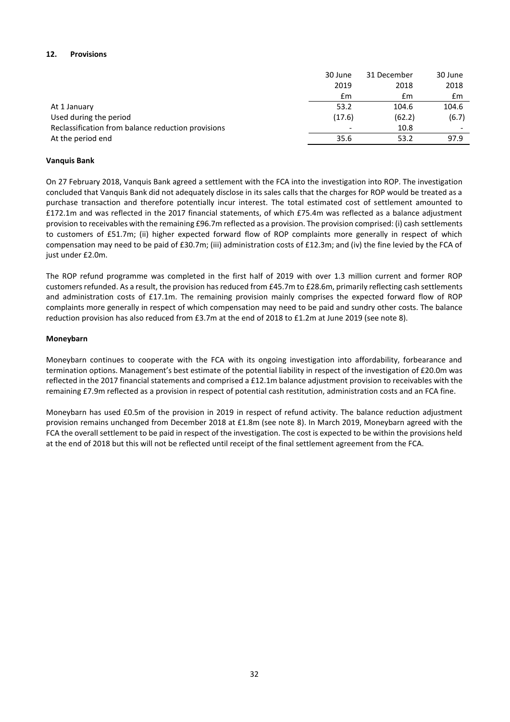# **12. Provisions**

|                                                    | 30 June | 31 December | 30 June                  |
|----------------------------------------------------|---------|-------------|--------------------------|
|                                                    | 2019    | 2018        | 2018                     |
|                                                    | £m      | £m          | £m                       |
| At 1 January                                       | 53.2    | 104.6       | 104.6                    |
| Used during the period                             | (17.6)  | (62.2)      | (6.7)                    |
| Reclassification from balance reduction provisions |         | 10.8        | $\overline{\phantom{0}}$ |
| At the period end                                  | 35.6    | 53.2        | 97.9                     |

# **Vanquis Bank**

On 27 February 2018, Vanquis Bank agreed a settlement with the FCA into the investigation into ROP. The investigation concluded that Vanquis Bank did not adequately disclose in its sales calls that the charges for ROP would be treated as a purchase transaction and therefore potentially incur interest. The total estimated cost of settlement amounted to £172.1m and was reflected in the 2017 financial statements, of which £75.4m was reflected as a balance adjustment provision to receivables with the remaining £96.7m reflected as a provision. The provision comprised: (i) cash settlements to customers of £51.7m; (ii) higher expected forward flow of ROP complaints more generally in respect of which compensation may need to be paid of £30.7m; (iii) administration costs of £12.3m; and (iv) the fine levied by the FCA of just under £2.0m.

The ROP refund programme was completed in the first half of 2019 with over 1.3 million current and former ROP customers refunded. As a result, the provision has reduced from £45.7m to £28.6m, primarily reflecting cash settlements and administration costs of £17.1m. The remaining provision mainly comprises the expected forward flow of ROP complaints more generally in respect of which compensation may need to be paid and sundry other costs. The balance reduction provision has also reduced from £3.7m at the end of 2018 to £1.2m at June 2019 (see note 8).

# **Moneybarn**

Moneybarn continues to cooperate with the FCA with its ongoing investigation into affordability, forbearance and termination options. Management's best estimate of the potential liability in respect of the investigation of £20.0m was reflected in the 2017 financial statements and comprised a £12.1m balance adjustment provision to receivables with the remaining £7.9m reflected as a provision in respect of potential cash restitution, administration costs and an FCA fine.

Moneybarn has used £0.5m of the provision in 2019 in respect of refund activity. The balance reduction adjustment provision remains unchanged from December 2018 at £1.8m (see note 8). In March 2019, Moneybarn agreed with the FCA the overall settlement to be paid in respect of the investigation. The cost is expected to be within the provisions held at the end of 2018 but this will not be reflected until receipt of the final settlement agreement from the FCA.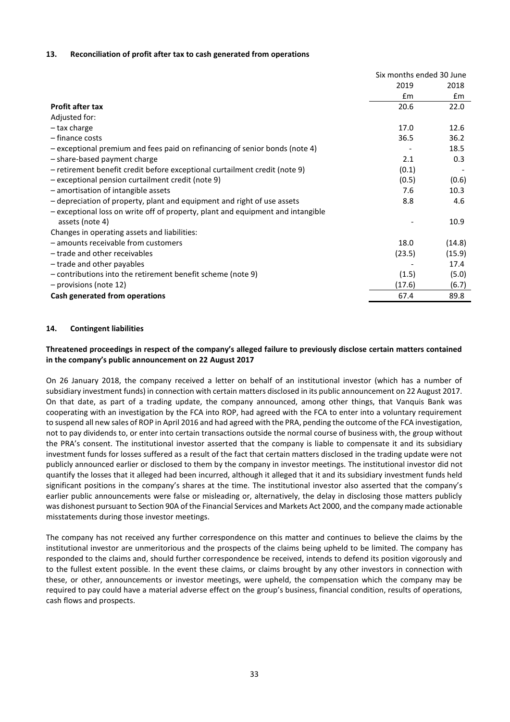#### **13. Reconciliation of profit after tax to cash generated from operations**

|                                                                                 | Six months ended 30 June |        |
|---------------------------------------------------------------------------------|--------------------------|--------|
|                                                                                 | 2019                     | 2018   |
|                                                                                 | $\mathsf{fm}$            | Em     |
| <b>Profit after tax</b>                                                         | 20.6                     | 22.0   |
| Adjusted for:                                                                   |                          |        |
| - tax charge                                                                    | 17.0                     | 12.6   |
| - finance costs                                                                 | 36.5                     | 36.2   |
| - exceptional premium and fees paid on refinancing of senior bonds (note 4)     |                          | 18.5   |
| - share-based payment charge                                                    | 2.1                      | 0.3    |
| - retirement benefit credit before exceptional curtailment credit (note 9)      | (0.1)                    |        |
| - exceptional pension curtailment credit (note 9)                               | (0.5)                    | (0.6)  |
| - amortisation of intangible assets                                             | 7.6                      | 10.3   |
| - depreciation of property, plant and equipment and right of use assets         | 8.8                      | 4.6    |
| - exceptional loss on write off of property, plant and equipment and intangible |                          |        |
| assets (note 4)                                                                 |                          | 10.9   |
| Changes in operating assets and liabilities:                                    |                          |        |
| - amounts receivable from customers                                             | 18.0                     | (14.8) |
| - trade and other receivables                                                   | (23.5)                   | (15.9) |
| - trade and other payables                                                      |                          | 17.4   |
| - contributions into the retirement benefit scheme (note 9)                     | (1.5)                    | (5.0)  |
| - provisions (note 12)                                                          | (17.6)                   | (6.7)  |
| Cash generated from operations                                                  | 67.4                     | 89.8   |

#### **14. Contingent liabilities**

### **Threatened proceedings in respect of the company's alleged failure to previously disclose certain matters contained in the company's public announcement on 22 August 2017**

On 26 January 2018, the company received a letter on behalf of an institutional investor (which has a number of subsidiary investment funds) in connection with certain matters disclosed in its public announcement on 22 August 2017. On that date, as part of a trading update, the company announced, among other things, that Vanquis Bank was cooperating with an investigation by the FCA into ROP, had agreed with the FCA to enter into a voluntary requirement to suspend all new sales of ROP in April 2016 and had agreed with the PRA, pending the outcome of the FCA investigation, not to pay dividends to, or enter into certain transactions outside the normal course of business with, the group without the PRA's consent. The institutional investor asserted that the company is liable to compensate it and its subsidiary investment funds for losses suffered as a result of the fact that certain matters disclosed in the trading update were not publicly announced earlier or disclosed to them by the company in investor meetings. The institutional investor did not quantify the losses that it alleged had been incurred, although it alleged that it and its subsidiary investment funds held significant positions in the company's shares at the time. The institutional investor also asserted that the company's earlier public announcements were false or misleading or, alternatively, the delay in disclosing those matters publicly was dishonest pursuant to Section 90A of the Financial Services and Markets Act 2000, and the company made actionable misstatements during those investor meetings.

The company has not received any further correspondence on this matter and continues to believe the claims by the institutional investor are unmeritorious and the prospects of the claims being upheld to be limited. The company has responded to the claims and, should further correspondence be received, intends to defend its position vigorously and to the fullest extent possible. In the event these claims, or claims brought by any other investors in connection with these, or other, announcements or investor meetings, were upheld, the compensation which the company may be required to pay could have a material adverse effect on the group's business, financial condition, results of operations, cash flows and prospects.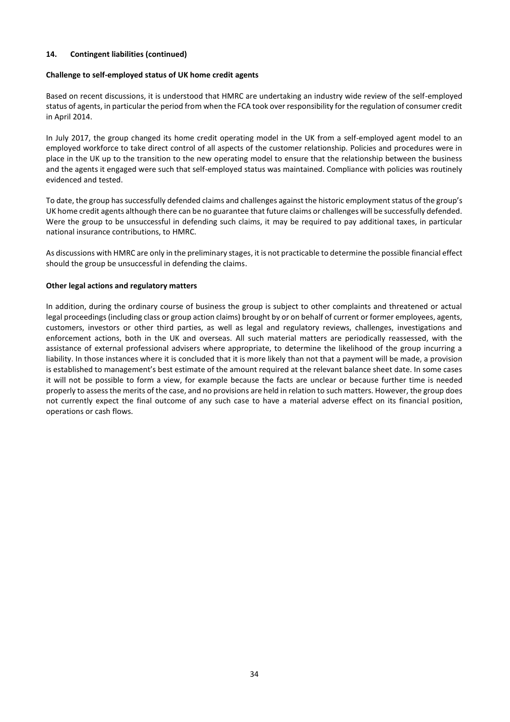# **14. Contingent liabilities (continued)**

#### **Challenge to self-employed status of UK home credit agents**

Based on recent discussions, it is understood that HMRC are undertaking an industry wide review of the self-employed status of agents, in particular the period from when the FCA took over responsibility for the regulation of consumer credit in April 2014.

In July 2017, the group changed its home credit operating model in the UK from a self-employed agent model to an employed workforce to take direct control of all aspects of the customer relationship. Policies and procedures were in place in the UK up to the transition to the new operating model to ensure that the relationship between the business and the agents it engaged were such that self-employed status was maintained. Compliance with policies was routinely evidenced and tested.

To date, the group has successfully defended claims and challenges against the historic employment status of the group's UK home credit agents although there can be no guarantee that future claims or challenges will be successfully defended. Were the group to be unsuccessful in defending such claims, it may be required to pay additional taxes, in particular national insurance contributions, to HMRC.

As discussions with HMRC are only in the preliminary stages, it is not practicable to determine the possible financial effect should the group be unsuccessful in defending the claims.

#### **Other legal actions and regulatory matters**

In addition, during the ordinary course of business the group is subject to other complaints and threatened or actual legal proceedings (including class or group action claims) brought by or on behalf of current or former employees, agents, customers, investors or other third parties, as well as legal and regulatory reviews, challenges, investigations and enforcement actions, both in the UK and overseas. All such material matters are periodically reassessed, with the assistance of external professional advisers where appropriate, to determine the likelihood of the group incurring a liability. In those instances where it is concluded that it is more likely than not that a payment will be made, a provision is established to management's best estimate of the amount required at the relevant balance sheet date. In some cases it will not be possible to form a view, for example because the facts are unclear or because further time is needed properly to assess the merits of the case, and no provisions are held in relation to such matters. However, the group does not currently expect the final outcome of any such case to have a material adverse effect on its financial position, operations or cash flows.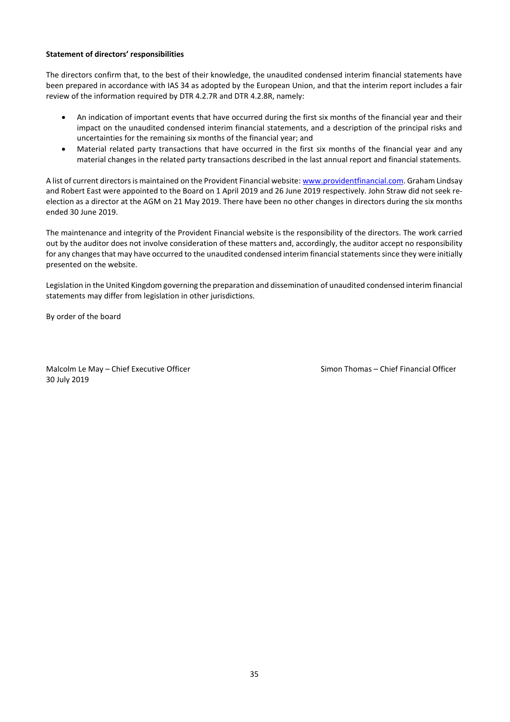#### **Statement of directors' responsibilities**

The directors confirm that, to the best of their knowledge, the unaudited condensed interim financial statements have been prepared in accordance with IAS 34 as adopted by the European Union, and that the interim report includes a fair review of the information required by DTR 4.2.7R and DTR 4.2.8R, namely:

- An indication of important events that have occurred during the first six months of the financial year and their impact on the unaudited condensed interim financial statements, and a description of the principal risks and uncertainties for the remaining six months of the financial year; and
- Material related party transactions that have occurred in the first six months of the financial year and any material changes in the related party transactions described in the last annual report and financial statements.

A list of current directors is maintained on the Provident Financial website[: www.providentfinancial.com.](http://www.providentfinancial.com/) Graham Lindsay and Robert East were appointed to the Board on 1 April 2019 and 26 June 2019 respectively. John Straw did not seek reelection as a director at the AGM on 21 May 2019. There have been no other changes in directors during the six months ended 30 June 2019.

The maintenance and integrity of the Provident Financial website is the responsibility of the directors. The work carried out by the auditor does not involve consideration of these matters and, accordingly, the auditor accept no responsibility for any changes that may have occurred to the unaudited condensed interim financial statements since they were initially presented on the website.

Legislation in the United Kingdom governing the preparation and dissemination of unaudited condensed interim financial statements may differ from legislation in other jurisdictions.

By order of the board

Malcolm Le May – Chief Executive Officer Simon Thomas – Chief Financial Officer 30 July 2019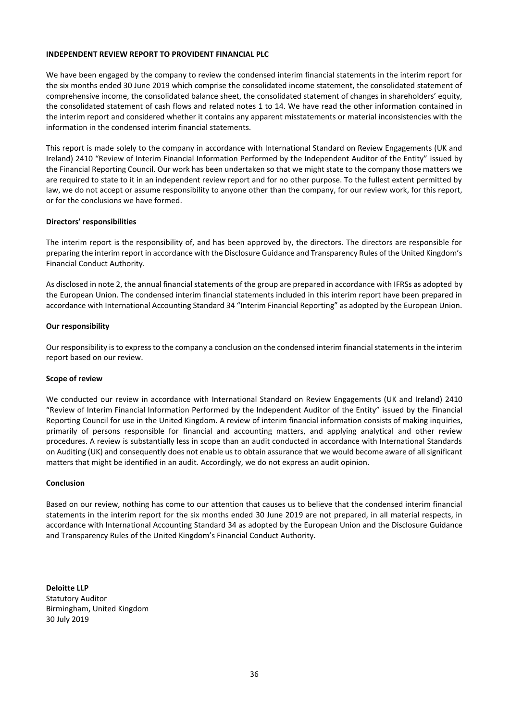#### **INDEPENDENT REVIEW REPORT TO PROVIDENT FINANCIAL PLC**

We have been engaged by the company to review the condensed interim financial statements in the interim report for the six months ended 30 June 2019 which comprise the consolidated income statement, the consolidated statement of comprehensive income, the consolidated balance sheet, the consolidated statement of changes in shareholders' equity, the consolidated statement of cash flows and related notes 1 to 14. We have read the other information contained in the interim report and considered whether it contains any apparent misstatements or material inconsistencies with the information in the condensed interim financial statements.

This report is made solely to the company in accordance with International Standard on Review Engagements (UK and Ireland) 2410 "Review of Interim Financial Information Performed by the Independent Auditor of the Entity" issued by the Financial Reporting Council. Our work has been undertaken so that we might state to the company those matters we are required to state to it in an independent review report and for no other purpose. To the fullest extent permitted by law, we do not accept or assume responsibility to anyone other than the company, for our review work, for this report, or for the conclusions we have formed.

#### **Directors' responsibilities**

The interim report is the responsibility of, and has been approved by, the directors. The directors are responsible for preparing the interim report in accordance with the Disclosure Guidance and Transparency Rules of the United Kingdom's Financial Conduct Authority.

As disclosed in note 2, the annual financial statements of the group are prepared in accordance with IFRSs as adopted by the European Union. The condensed interim financial statements included in this interim report have been prepared in accordance with International Accounting Standard 34 "Interim Financial Reporting" as adopted by the European Union.

#### **Our responsibility**

Our responsibility is to express to the company a conclusion on the condensed interim financial statements in the interim report based on our review.

#### **Scope of review**

We conducted our review in accordance with International Standard on Review Engagements (UK and Ireland) 2410 "Review of Interim Financial Information Performed by the Independent Auditor of the Entity" issued by the Financial Reporting Council for use in the United Kingdom. A review of interim financial information consists of making inquiries, primarily of persons responsible for financial and accounting matters, and applying analytical and other review procedures. A review is substantially less in scope than an audit conducted in accordance with International Standards on Auditing (UK) and consequently does not enable us to obtain assurance that we would become aware of all significant matters that might be identified in an audit. Accordingly, we do not express an audit opinion.

#### **Conclusion**

Based on our review, nothing has come to our attention that causes us to believe that the condensed interim financial statements in the interim report for the six months ended 30 June 2019 are not prepared, in all material respects, in accordance with International Accounting Standard 34 as adopted by the European Union and the Disclosure Guidance and Transparency Rules of the United Kingdom's Financial Conduct Authority.

**Deloitte LLP** Statutory Auditor Birmingham, United Kingdom 30 July 2019